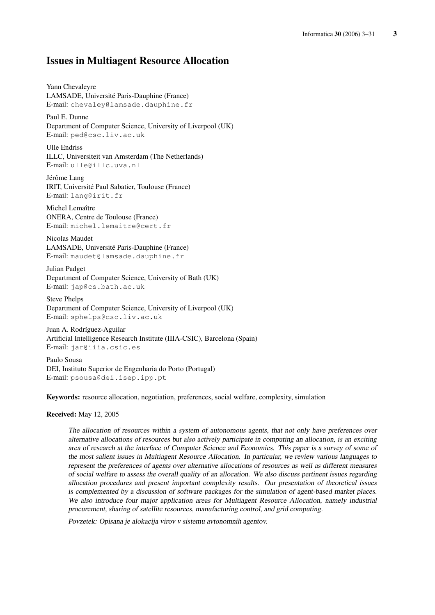# Issues in Multiagent Resource Allocation

Yann Chevaleyre LAMSADE, Université Paris-Dauphine (France) E-mail: chevaley@lamsade.dauphine.fr

Paul E. Dunne Department of Computer Science, University of Liverpool (UK) E-mail: ped@csc.liv.ac.uk

Ulle Endriss ILLC, Universiteit van Amsterdam (The Netherlands) E-mail: ulle@illc.uva.nl

Jérôme Lang IRIT, Université Paul Sabatier, Toulouse (France) E-mail: lang@irit.fr

Michel Lemaître ONERA, Centre de Toulouse (France) E-mail: michel.lemaitre@cert.fr

Nicolas Maudet LAMSADE, Université Paris-Dauphine (France) E-mail: maudet@lamsade.dauphine.fr

Julian Padget Department of Computer Science, University of Bath (UK) E-mail: jap@cs.bath.ac.uk

Steve Phelps Department of Computer Science, University of Liverpool (UK) E-mail: sphelps@csc.liv.ac.uk

Juan A. Rodríguez-Aguilar Artificial Intelligence Research Institute (IIIA-CSIC), Barcelona (Spain) E-mail: jar@iiia.csic.es

Paulo Sousa DEI, Instituto Superior de Engenharia do Porto (Portugal) E-mail: psousa@dei.isep.ipp.pt

Keywords: resource allocation, negotiation, preferences, social welfare, complexity, simulation

Received: May 12, 2005

The allocation of resources within <sup>a</sup> system of autonomous agents, that not only have preferences over alternative allocations of resources but also actively participate in computing an allocation, is an exciting area of research at the interface of Computer Science and Economics. This paper is <sup>a</sup> survey of some of the most salient issues in Multiagent Resource Allocation. In particular, we review various languages to represent the preferences of agents over alternative allocations of resources as well as different measures of social welfare to assess the overall quality of an allocation. We also discuss pertinent issues regarding allocation procedures and present important complexity results. Our presentation of theoretical issues is complemented by <sup>a</sup> discussion of software packages for the simulation of agent-based market places. We also introduce four major application areas for Multiagent Resource Allocation, namely industrial procurement, sharing of satellite resources, manufacturing control, and grid computing.

Povzetek: Opisana je alokacija virov v sistemu avtonomnih agentov.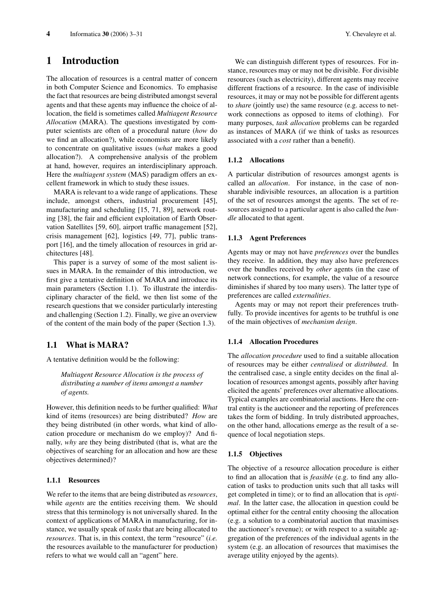# 1 Introduction

The allocation of resources is a central matter of concern in both Computer Science and Economics. To emphasise the fact that resources are being distributed amongst several agents and that these agents may influence the choice of allocation, the field is sometimes called *Multiagent Resource Allocation* (MARA). The questions investigated by computer scientists are often of a procedural nature (*how* do we find an allocation?), while economists are more likely to concentrate on qualitative issues (*what* makes a good allocation?). A comprehensive analysis of the problem at hand, however, requires an interdisciplinary approach. Here the *multiagent system* (MAS) paradigm offers an excellent framework in which to study these issues.

MARA is relevant to a wide range of applications. These include, amongst others, industrial procurement [45], manufacturing and scheduling [15, 71, 89], network routing [38], the fair and efficient exploitation of Earth Observation Satellites [59, 60], airport traffic management [52], crisis management [62], logistics [49, 77], public transport [16], and the timely allocation of resources in grid architectures [48].

This paper is a survey of some of the most salient issues in MARA. In the remainder of this introduction, we first give a tentative definition of MARA and introduce its main parameters (Section 1.1). To illustrate the interdisciplinary character of the field, we then list some of the research questions that we consider particularly interesting and challenging (Section 1.2). Finally, we give an overview of the content of the main body of the paper (Section 1.3).

# 1.1 What is MARA?

A tentative definition would be the following:

*Multiagent Resource Allocation is the process of distributing a number of items amongst a number of agents.*

However, this definition needs to be further qualified: *What* kind of items (resources) are being distributed? *How* are they being distributed (in other words, what kind of allocation procedure or mechanism do we employ)? And finally, *why* are they being distributed (that is, what are the objectives of searching for an allocation and how are these objectives determined)?

## 1.1.1 Resources

We refer to the items that are being distributed as *resources*, while *agents* are the entities receiving them. We should stress that this terminology is not universally shared. In the context of applications of MARA in manufacturing, for instance, we usually speak of *tasks* that are being allocated to *resources*. That is, in this context, the term "resource" (*i.e.* the resources available to the manufacturer for production) refers to what we would call an "agent" here.

We can distinguish different types of resources. For instance, resources may or may not be divisible. For divisible resources (such as electricity), different agents may receive different fractions of a resource. In the case of indivisible resources, it may or may not be possible for different agents to *share* (jointly use) the same resource (e.g. access to network connections as opposed to items of clothing). For many purposes, *task allocation* problems can be regarded as instances of MARA (if we think of tasks as resources associated with a *cost* rather than a benefit).

#### 1.1.2 Allocations

A particular distribution of resources amongst agents is called an *allocation*. For instance, in the case of nonsharable indivisible resources, an allocation is a partition of the set of resources amongst the agents. The set of resources assigned to a particular agent is also called the *bundle* allocated to that agent.

#### 1.1.3 Agent Preferences

Agents may or may not have *preferences* over the bundles they receive. In addition, they may also have preferences over the bundles received by *other* agents (in the case of network connections, for example, the value of a resource diminishes if shared by too many users). The latter type of preferences are called *externalities*.

Agents may or may not report their preferences truthfully. To provide incentives for agents to be truthful is one of the main objectives of *mechanism design*.

#### 1.1.4 Allocation Procedures

The *allocation procedure* used to find a suitable allocation of resources may be either *centralised* or *distributed*. In the centralised case, a single entity decides on the final allocation of resources amongst agents, possibly after having elicited the agents' preferences over alternative allocations. Typical examples are combinatorial auctions. Here the central entity is the auctioneer and the reporting of preferences takes the form of bidding. In truly distributed approaches, on the other hand, allocations emerge as the result of a sequence of local negotiation steps.

#### 1.1.5 Objectives

The objective of a resource allocation procedure is either to find an allocation that is *feasible* (e.g. to find any allocation of tasks to production units such that all tasks will get completed in time); or to find an allocation that is *optimal*. In the latter case, the allocation in question could be optimal either for the central entity choosing the allocation (e.g. a solution to a combinatorial auction that maximises the auctioneer's revenue); or with respect to a suitable aggregation of the preferences of the individual agents in the system (e.g. an allocation of resources that maximises the average utility enjoyed by the agents).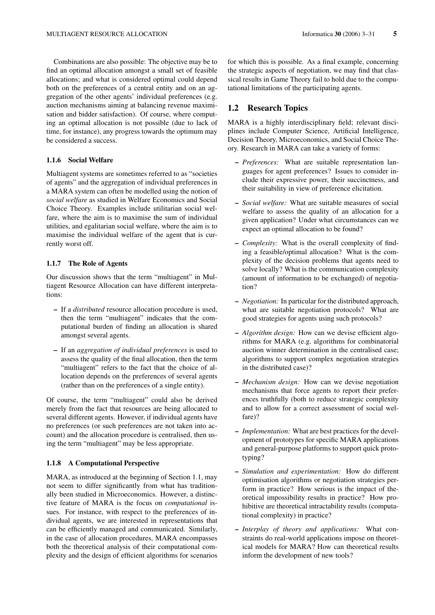Combinations are also possible: The objective may be to find an optimal allocation amongst a small set of feasible allocations; and what is considered optimal could depend both on the preferences of a central entity and on an aggregation of the other agents' individual preferences (e.g. auction mechanisms aiming at balancing revenue maximisation and bidder satisfaction). Of course, where computing an optimal allocation is not possible (due to lack of time, for instance), any progress towards the optimum may be considered a success.

## 1.1.6 Social Welfare

Multiagent systems are sometimes referred to as "societies of agents" and the aggregation of individual preferences in a MARA system can often be modelled using the notion of *social welfare* as studied in Welfare Economics and Social Choice Theory. Examples include utilitarian social welfare, where the aim is to maximise the sum of individual utilities, and egalitarian social welfare, where the aim is to maximise the individual welfare of the agent that is currently worst off.

### 1.1.7 The Role of Agents

Our discussion shows that the term "multiagent" in Multiagent Resource Allocation can have different interpretations:

- If a *distributed* resource allocation procedure is used, then the term "multiagent" indicates that the computational burden of finding an allocation is shared amongst several agents.
- If an *aggregation of individual preferences* is used to assess the quality of the final allocation, then the term "multiagent" refers to the fact that the choice of allocation depends on the preferences of several agents (rather than on the preferences of a single entity).

Of course, the term "multiagent" could also be derived merely from the fact that resources are being allocated to several different agents. However, if individual agents have no preferences (or such preferences are not taken into account) and the allocation procedure is centralised, then using the term "multiagent" may be less appropriate.

#### 1.1.8 A Computational Perspective

MARA, as introduced at the beginning of Section 1.1, may not seem to differ significantly from what has traditionally been studied in Microeconomics. However, a distinctive feature of MARA is the focus on *computational* issues. For instance, with respect to the preferences of individual agents, we are interested in representations that can be efficiently managed and communicated. Similarly, in the case of allocation procedures, MARA encompasses both the theoretical analysis of their computational complexity and the design of efficient algorithms for scenarios for which this is possible. As a final example, concerning the strategic aspects of negotiation, we may find that classical results in Game Theory fail to hold due to the computational limitations of the participating agents.

# 1.2 Research Topics

MARA is a highly interdisciplinary field; relevant disciplines include Computer Science, Artificial Intelligence, Decision Theory, Microeconomics, and Social Choice Theory. Research in MARA can take a variety of forms:

- *Preferences:* What are suitable representation languages for agent preferences? Issues to consider include their expressive power, their succinctness, and their suitability in view of preference elicitation.
- *Social welfare:* What are suitable measures of social welfare to assess the quality of an allocation for a given application? Under what circumstances can we expect an optimal allocation to be found?
- *Complexity:* What is the overall complexity of finding a feasible/optimal allocation? What is the complexity of the decision problems that agents need to solve locally? What is the communication complexity (amount of information to be exchanged) of negotiation?
- *Negotiation:* In particular for the distributed approach, what are suitable negotiation protocols? What are good strategies for agents using such protocols?
- *Algorithm design:* How can we devise efficient algorithms for MARA (e.g. algorithms for combinatorial auction winner determination in the centralised case; algorithms to support complex negotiation strategies in the distributed case)?
- *Mechanism design:* How can we devise negotiation mechanisms that force agents to report their preferences truthfully (both to reduce strategic complexity and to allow for a correct assessment of social welfare)?
- *Implementation:* What are best practices for the development of prototypes for specific MARA applications and general-purpose platforms to support quick prototyping?
- *Simulation and experimentation:* How do different optimisation algorithms or negotiation strategies perform in practice? How serious is the impact of theoretical impossibility results in practice? How prohibitive are theoretical intractability results (computational complexity) in practice?
- *Interplay of theory and applications:* What constraints do real-world applications impose on theoretical models for MARA? How can theoretical results inform the development of new tools?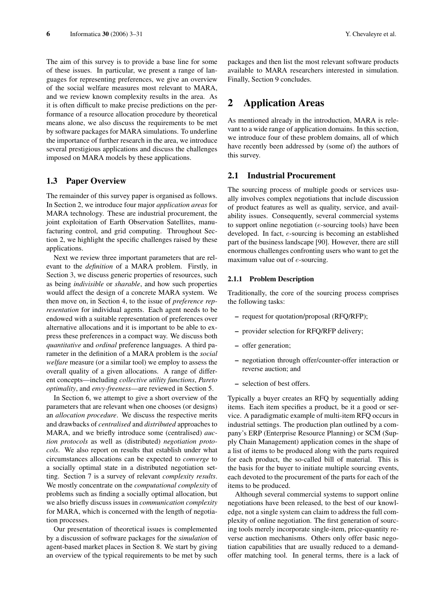The aim of this survey is to provide a base line for some of these issues. In particular, we present a range of languages for representing preferences, we give an overview of the social welfare measures most relevant to MARA, and we review known complexity results in the area. As it is often difficult to make precise predictions on the performance of a resource allocation procedure by theoretical means alone, we also discuss the requirements to be met by software packages for MARA simulations. To underline the importance of further research in the area, we introduce several prestigious applications and discuss the challenges imposed on MARA models by these applications.

# 1.3 Paper Overview

The remainder of this survey paper is organised as follows. In Section 2, we introduce four major *application areas* for MARA technology. These are industrial procurement, the joint exploitation of Earth Observation Satellites, manufacturing control, and grid computing. Throughout Section 2, we highlight the specific challenges raised by these applications.

Next we review three important parameters that are relevant to the *definition* of a MARA problem. Firstly, in Section 3, we discuss generic properties of resources, such as being *indivisible* or *sharable*, and how such properties would affect the design of a concrete MARA system. We then move on, in Section 4, to the issue of *preference representation* for individual agents. Each agent needs to be endowed with a suitable representation of preferences over alternative allocations and it is important to be able to express these preferences in a compact way. We discuss both *quantitative* and *ordinal* preference languages. A third parameter in the definition of a MARA problem is the *social welfare* measure (or a similar tool) we employ to assess the overall quality of a given allocations. A range of different concepts—including *collective utility functions*, *Pareto optimality*, and *envy-freeness*—are reviewed in Section 5.

In Section 6, we attempt to give a short overview of the parameters that are relevant when one chooses (or designs) an *allocation procedure*. We discuss the respective merits and drawbacks of *centralised* and *distributed* approaches to MARA, and we briefly introduce some (centralised) *auction protocols* as well as (distributed) *negotiation protocols*. We also report on results that establish under what circumstances allocations can be expected to *converge* to a socially optimal state in a distributed negotiation setting. Section 7 is a survey of relevant *complexity results*. We mostly concentrate on the *computational complexity* of problems such as finding a socially optimal allocation, but we also briefly discuss issues in *communication complexity* for MARA, which is concerned with the length of negotiation processes.

Our presentation of theoretical issues is complemented by a discussion of software packages for the *simulation* of agent-based market places in Section 8. We start by giving an overview of the typical requirements to be met by such

packages and then list the most relevant software products available to MARA researchers interested in simulation. Finally, Section 9 concludes.

# 2 Application Areas

As mentioned already in the introduction, MARA is relevant to a wide range of application domains. In this section, we introduce four of these problem domains, all of which have recently been addressed by (some of) the authors of this survey.

## 2.1 Industrial Procurement

The sourcing process of multiple goods or services usually involves complex negotiations that include discussion of product features as well as quality, service, and availability issues. Consequently, several commercial systems to support online negotiation (e-sourcing tools) have been developed. In fact, e-sourcing is becoming an established part of the business landscape [90]. However, there are still enormous challenges confronting users who want to get the maximum value out of e-sourcing.

#### 2.1.1 Problem Description

Traditionally, the core of the sourcing process comprises the following tasks:

- request for quotation/proposal (RFQ/RFP);
- provider selection for RFQ/RFP delivery;
- offer generation;
- negotiation through offer/counter-offer interaction or reverse auction; and
- selection of best offers.

Typically a buyer creates an RFQ by sequentially adding items. Each item specifies a product, be it a good or service. A paradigmatic example of multi-item RFQ occurs in industrial settings. The production plan outlined by a company's ERP (Enterprise Resource Planning) or SCM (Supply Chain Management) application comes in the shape of a list of items to be produced along with the parts required for each product, the so-called bill of material. This is the basis for the buyer to initiate multiple sourcing events, each devoted to the procurement of the parts for each of the items to be produced.

Although several commercial systems to support online negotiations have been released, to the best of our knowledge, not a single system can claim to address the full complexity of online negotiation. The first generation of sourcing tools merely incorporate single-item, price-quantity reverse auction mechanisms. Others only offer basic negotiation capabilities that are usually reduced to a demandoffer matching tool. In general terms, there is a lack of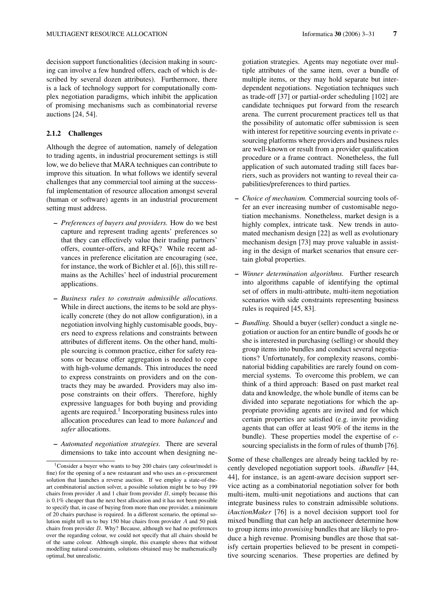decision support functionalities (decision making in sourcing can involve a few hundred offers, each of which is described by several dozen attributes). Furthermore, there is a lack of technology support for computationally complex negotiation paradigms, which inhibit the application of promising mechanisms such as combinatorial reverse auctions [24, 54].

#### 2.1.2 Challenges

Although the degree of automation, namely of delegation to trading agents, in industrial procurement settings is still low, we do believe that MARA techniques can contribute to improve this situation. In what follows we identify several challenges that any commercial tool aiming at the successful implementation of resource allocation amongst several (human or software) agents in an industrial procurement setting must address.

- *Preferences of buyers and providers.* How do we best capture and represent trading agents' preferences so that they can effectively value their trading partners' offers, counter-offers, and RFQs? While recent advances in preference elicitation are encouraging (see, for instance, the work of Bichler et al. [6]), this still remains as the Achilles' heel of industrial procurement applications.
- *Business rules to constrain admissible allocations.* While in direct auctions, the items to be sold are physically concrete (they do not allow configuration), in a negotiation involving highly customisable goods, buyers need to express relations and constraints between attributes of different items. On the other hand, multiple sourcing is common practice, either for safety reasons or because offer aggregation is needed to cope with high-volume demands. This introduces the need to express constraints on providers and on the contracts they may be awarded. Providers may also impose constraints on their offers. Therefore, highly expressive languages for both buying and providing agents are required.<sup>1</sup> Incorporating business rules into allocation procedures can lead to more *balanced* and *safer* allocations.
- *Automated negotiation strategies.* There are several dimensions to take into account when designing ne-

gotiation strategies. Agents may negotiate over multiple attributes of the same item, over a bundle of multiple items, or they may hold separate but interdependent negotiations. Negotiation techniques such as trade-off [37] or partial-order scheduling [102] are candidate techniques put forward from the research arena. The current procurement practices tell us that the possibility of automatic offer submission is seen with interest for repetitive sourcing events in private esourcing platforms where providers and business rules are well-known or result from a provider qualification procedure or a frame contract. Nonetheless, the full application of such automated trading still faces barriers, such as providers not wanting to reveal their capabilities/preferences to third parties.

- *Choice of mechanism.* Commercial sourcing tools offer an ever increasing number of customisable negotiation mechanisms. Nonetheless, market design is a highly complex, intricate task. New trends in automated mechanism design [22] as well as evolutionary mechanism design [73] may prove valuable in assisting in the design of market scenarios that ensure certain global properties.
- *Winner determination algorithms.* Further research into algorithms capable of identifying the optimal set of offers in multi-attribute, multi-item negotiation scenarios with side constraints representing business rules is required [45, 83].
- *Bundling.* Should a buyer (seller) conduct a single negotiation or auction for an entire bundle of goods he or she is interested in purchasing (selling) or should they group items into bundles and conduct several negotiations? Unfortunately, for complexity reasons, combinatorial bidding capabilities are rarely found on commercial systems. To overcome this problem, we can think of a third approach: Based on past market real data and knowledge, the whole bundle of items can be divided into separate negotiations for which the appropriate providing agents are invited and for which certain properties are satisfied (e.g. invite providing agents that can offer at least 90% of the items in the bundle). These properties model the expertise of esourcing specialists in the form of rules of thumb [76].

Some of these challenges are already being tackled by recently developed negotiation support tools. *iBundler* [44, 44], for instance, is an agent-aware decision support service acting as a combinatorial negotiation solver for both multi-item, multi-unit negotiations and auctions that can integrate business rules to constrain admissible solutions. *iAuctionMaker* [76] is a novel decision support tool for mixed bundling that can help an auctioneer determine how to group items into *promising* bundles that are likely to produce a high revenue. Promising bundles are those that satisfy certain properties believed to be present in competitive sourcing scenarios. These properties are defined by

<sup>1</sup>Consider a buyer who wants to buy 200 chairs (any colour/model is fine) for the opening of a new restaurant and who uses an e-procurement solution that launches a reverse auction. If we employ a state-of-theart combinatorial auction solver, a possible solution might be to buy 199 chairs from provider  $A$  and 1 chair from provider  $B$ , simply because this is 0.1% cheaper than the next best allocation and it has not been possible to specify that, in case of buying from more than one provider, a minimum of 20 chairs purchase is required. In a different scenario, the optimal solution might tell us to buy 150 blue chairs from provider A and 50 pink chairs from provider  $B$ . Why? Because, although we had no preferences over the regarding colour, we could not specify that all chairs should be of the same colour. Although simple, this example shows that without modelling natural constraints, solutions obtained may be mathematically optimal, but unrealistic.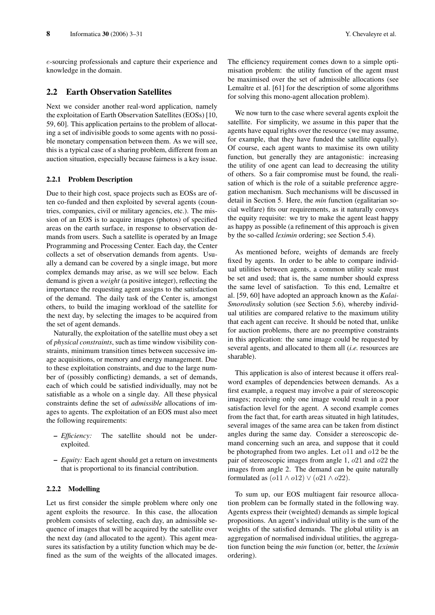e-sourcing professionals and capture their experience and knowledge in the domain.

# 2.2 Earth Observation Satellites

Next we consider another real-word application, namely the exploitation of Earth Observation Satellites (EOSs) [10, 59, 60]. This application pertains to the problem of allocating a set of indivisible goods to some agents with no possible monetary compensation between them. As we will see, this is a typical case of a sharing problem, different from an auction situation, especially because fairness is a key issue.

#### 2.2.1 Problem Description

Due to their high cost, space projects such as EOSs are often co-funded and then exploited by several agents (countries, companies, civil or military agencies, etc.). The mission of an EOS is to acquire images (photos) of specified areas on the earth surface, in response to observation demands from users. Such a satellite is operated by an Image Programming and Processing Center. Each day, the Center collects a set of observation demands from agents. Usually a demand can be covered by a single image, but more complex demands may arise, as we will see below. Each demand is given a *weight* (a positive integer), reflecting the importance the requesting agent assigns to the satisfaction of the demand. The daily task of the Center is, amongst others, to build the imaging workload of the satellite for the next day, by selecting the images to be acquired from the set of agent demands.

Naturally, the exploitation of the satellite must obey a set of *physical constraints*, such as time window visibility constraints, minimum transition times between successive image acquisitions, or memory and energy management. Due to these exploitation constraints, and due to the large number of (possibly conflicting) demands, a set of demands, each of which could be satisfied individually, may not be satisfiable as a whole on a single day. All these physical constraints define the set of *admissible* allocations of images to agents. The exploitation of an EOS must also meet the following requirements:

- *Efficiency:* The satellite should not be underexploited.
- *Equity:* Each agent should get a return on investments that is proportional to its financial contribution.

#### 2.2.2 Modelling

Let us first consider the simple problem where only one agent exploits the resource. In this case, the allocation problem consists of selecting, each day, an admissible sequence of images that will be acquired by the satellite over the next day (and allocated to the agent). This agent measures its satisfaction by a utility function which may be defined as the sum of the weights of the allocated images.

We now turn to the case where several agents exploit the satellite. For simplicity, we assume in this paper that the agents have equal rights over the resource (we may assume, for example, that they have funded the satellite equally). Of course, each agent wants to maximise its own utility function, but generally they are antagonistic: increasing the utility of one agent can lead to decreasing the utility of others. So a fair compromise must be found, the realisation of which is the role of a suitable preference aggregation mechanism. Such mechanisms will be discussed in detail in Section 5. Here, the *min* function (egalitarian social welfare) fits our requirements, as it naturally conveys the equity requisite: we try to make the agent least happy as happy as possible (a refinement of this approach is given by the so-called *leximin* ordering; see Section 5.4).

As mentioned before, weights of demands are freely fixed by agents. In order to be able to compare individual utilities between agents, a common utility scale must be set and used; that is, the same number should express the same level of satisfaction. To this end, Lemaître et al. [59, 60] have adopted an approach known as the *Kalai-Smorodinsky* solution (see Section 5.6), whereby individual utilities are compared relative to the maximum utility that each agent can receive. It should be noted that, unlike for auction problems, there are no preemptive constraints in this application: the same image could be requested by several agents, and allocated to them all (*i.e.* resources are sharable).

This application is also of interest because it offers realword examples of dependencies between demands. As a first example, a request may involve a pair of stereoscopic images; receiving only one image would result in a poor satisfaction level for the agent. A second example comes from the fact that, for earth areas situated in high latitudes, several images of the same area can be taken from distinct angles during the same day. Consider a stereoscopic demand concerning such an area, and suppose that it could be photographed from two angles. Let o11 and o12 be the pair of stereoscopic images from angle 1, o21 and o22 the images from angle 2. The demand can be quite naturally formulated as  $(o11 \land o12) \lor (o21 \land o22)$ .

To sum up, our EOS multiagent fair resource allocation problem can be formally stated in the following way. Agents express their (weighted) demands as simple logical propositions. An agent's individual utility is the sum of the weights of the satisfied demands. The global utility is an aggregation of normalised individual utilities, the aggregation function being the *min* function (or, better, the *leximin* ordering).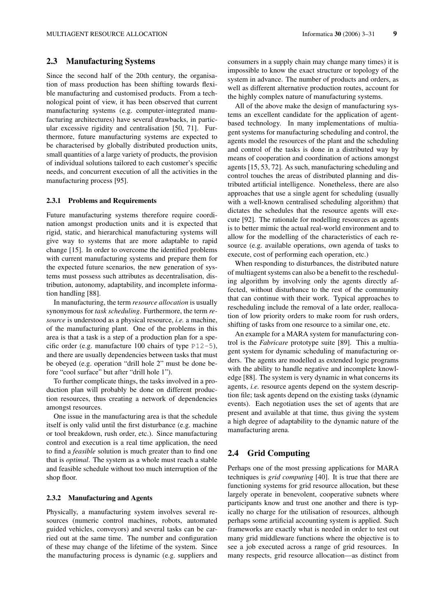# 2.3 Manufacturing Systems

Since the second half of the 20th century, the organisation of mass production has been shifting towards flexible manufacturing and customised products. From a technological point of view, it has been observed that current manufacturing systems (e.g. computer-integrated manufacturing architectures) have several drawbacks, in particular excessive rigidity and centralisation [50, 71]. Furthermore, future manufacturing systems are expected to be characterised by globally distributed production units, small quantities of a large variety of products, the provision of individual solutions tailored to each customer's specific needs, and concurrent execution of all the activities in the manufacturing process [95].

#### 2.3.1 Problems and Requirements

Future manufacturing systems therefore require coordination amongst production units and it is expected that rigid, static, and hierarchical manufacturing systems will give way to systems that are more adaptable to rapid change [15]. In order to overcome the identified problems with current manufacturing systems and prepare them for the expected future scenarios, the new generation of systems must possess such attributes as decentralisation, distribution, autonomy, adaptability, and incomplete information handling [88].

In manufacturing, the term *resource allocation* is usually synonymous for *task scheduling*. Furthermore, the term *resource* is understood as a physical resource, *i.e.* a machine, of the manufacturing plant. One of the problems in this area is that a task is a step of a production plan for a specific order (e.g. manufacture 100 chairs of type  $P12-5$ ), and there are usually dependencies between tasks that must be obeyed (e.g. operation "drill hole 2" must be done before "cool surface" but after "drill hole 1").

To further complicate things, the tasks involved in a production plan will probably be done on different production resources, thus creating a network of dependencies amongst resources.

One issue in the manufacturing area is that the schedule itself is only valid until the first disturbance (e.g. machine or tool breakdown, rush order, etc.). Since manufacturing control and execution is a real time application, the need to find a *feasible* solution is much greater than to find one that is *optimal*. The system as a whole must reach a stable and feasible schedule without too much interruption of the shop floor.

#### 2.3.2 Manufacturing and Agents

Physically, a manufacturing system involves several resources (numeric control machines, robots, automated guided vehicles, conveyors) and several tasks can be carried out at the same time. The number and configuration of these may change of the lifetime of the system. Since the manufacturing process is dynamic (e.g. suppliers and consumers in a supply chain may change many times) it is impossible to know the exact structure or topology of the system in advance. The number of products and orders, as well as different alternative production routes, account for the highly complex nature of manufacturing systems.

All of the above make the design of manufacturing systems an excellent candidate for the application of agentbased technology. In many implementations of multiagent systems for manufacturing scheduling and control, the agents model the resources of the plant and the scheduling and control of the tasks is done in a distributed way by means of cooperation and coordination of actions amongst agents [15, 53, 72]. As such, manufacturing scheduling and control touches the areas of distributed planning and distributed artificial intelligence. Nonetheless, there are also approaches that use a single agent for scheduling (usually with a well-known centralised scheduling algorithm) that dictates the schedules that the resource agents will execute [92]. The rationale for modelling resources as agents is to better mimic the actual real-world environment and to allow for the modelling of the characteristics of each resource (e.g. available operations, own agenda of tasks to execute, cost of performing each operation, etc.)

When responding to disturbances, the distributed nature of multiagent systems can also be a benefit to the rescheduling algorithm by involving only the agents directly affected, without disturbance to the rest of the community that can continue with their work. Typical approaches to rescheduling include the removal of a late order, reallocation of low priority orders to make room for rush orders, shifting of tasks from one resource to a similar one, etc.

An example for a MARA system for manufacturing control is the *Fabricare* prototype suite [89]. This a multiagent system for dynamic scheduling of manufacturing orders. The agents are modelled as extended logic programs with the ability to handle negative and incomplete knowledge [88]. The system is very dynamic in what concerns its agents, *i.e.* resource agents depend on the system description file; task agents depend on the existing tasks (dynamic events). Each negotiation uses the set of agents that are present and available at that time, thus giving the system a high degree of adaptability to the dynamic nature of the manufacturing arena.

# 2.4 Grid Computing

Perhaps one of the most pressing applications for MARA techniques is *grid computing* [40]. It is true that there are functioning systems for grid resource allocation, but these largely operate in benevolent, cooperative subnets where participants know and trust one another and there is typically no charge for the utilisation of resources, although perhaps some artificial accounting system is applied. Such frameworks are exactly what is needed in order to test out many grid middleware functions where the objective is to see a job executed across a range of grid resources. In many respects, grid resource allocation—as distinct from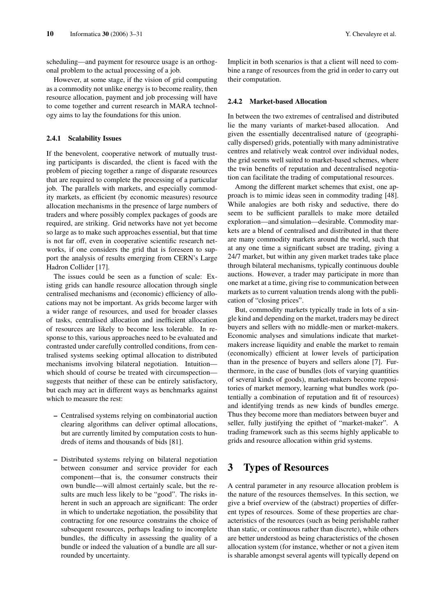scheduling—and payment for resource usage is an orthogonal problem to the actual processing of a job.

However, at some stage, if the vision of grid computing as a commodity not unlike energy is to become reality, then resource allocation, payment and job processing will have to come together and current research in MARA technology aims to lay the foundations for this union.

#### 2.4.1 Scalability Issues

If the benevolent, cooperative network of mutually trusting participants is discarded, the client is faced with the problem of piecing together a range of disparate resources that are required to complete the processing of a particular job. The parallels with markets, and especially commodity markets, as efficient (by economic measures) resource allocation mechanisms in the presence of large numbers of traders and where possibly complex packages of goods are required, are striking. Grid networks have not yet become so large as to make such approaches essential, but that time is not far off, even in cooperative scientific research networks, if one considers the grid that is foreseen to support the analysis of results emerging from CERN's Large Hadron Collider [17].

The issues could be seen as a function of scale: Existing grids can handle resource allocation through single centralised mechanisms and (economic) efficiency of allocations may not be important. As grids become larger with a wider range of resources, and used for broader classes of tasks, centralised allocation and inefficient allocation of resources are likely to become less tolerable. In response to this, various approaches need to be evaluated and contrasted under carefully controlled conditions, from centralised systems seeking optimal allocation to distributed mechanisms involving bilateral negotiation. Intuition which should of course be treated with circumspection suggests that neither of these can be entirely satisfactory, but each may act in different ways as benchmarks against which to measure the rest:

- Centralised systems relying on combinatorial auction clearing algorithms can deliver optimal allocations, but are currently limited by computation costs to hundreds of items and thousands of bids [81].
- Distributed systems relying on bilateral negotiation between consumer and service provider for each component—that is, the consumer constructs their own bundle—will almost certainly scale, but the results are much less likely to be "good". The risks inherent in such an approach are significant: The order in which to undertake negotiation, the possibility that contracting for one resource constrains the choice of subsequent resources, perhaps leading to incomplete bundles, the difficulty in assessing the quality of a bundle or indeed the valuation of a bundle are all surrounded by uncertainty.

Implicit in both scenarios is that a client will need to combine a range of resources from the grid in order to carry out their computation.

#### 2.4.2 Market-based Allocation

In between the two extremes of centralised and distributed lie the many variants of market-based allocation. And given the essentially decentralised nature of (geographically dispersed) grids, potentially with many administrative centres and relatively weak control over individual nodes, the grid seems well suited to market-based schemes, where the twin benefits of reputation and decentralised negotiation can facilitate the trading of computational resources.

Among the different market schemes that exist, one approach is to mimic ideas seen in commodity trading [48]. While analogies are both risky and seductive, there do seem to be sufficient parallels to make more detailed exploration—and simulation—desirable. Commodity markets are a blend of centralised and distributed in that there are many commodity markets around the world, such that at any one time a significant subset are trading, giving a 24/7 market, but within any given market trades take place through bilateral mechanisms, typically continuous double auctions. However, a trader may participate in more than one market at a time, giving rise to communication between markets as to current valuation trends along with the publication of "closing prices".

But, commodity markets typically trade in lots of a single kind and depending on the market, traders may be direct buyers and sellers with no middle-men or market-makers. Economic analyses and simulations indicate that marketmakers increase liquidity and enable the market to remain (economically) efficient at lower levels of participation than in the presence of buyers and sellers alone [7]. Furthermore, in the case of bundles (lots of varying quantities of several kinds of goods), market-makers become repositories of market memory, learning what bundles work (potentially a combination of reputation and fit of resources) and identifying trends as new kinds of bundles emerge. Thus they become more than mediators between buyer and seller, fully justifying the epithet of "market-maker". A trading framework such as this seems highly applicable to grids and resource allocation within grid systems.

# 3 Types of Resources

A central parameter in any resource allocation problem is the nature of the resources themselves. In this section, we give a brief overview of the (abstract) properties of different types of resources. Some of these properties are characteristics of the resources (such as being perishable rather than static, or continuous rather than discrete), while others are better understood as being characteristics of the chosen allocation system (for instance, whether or not a given item is sharable amongst several agents will typically depend on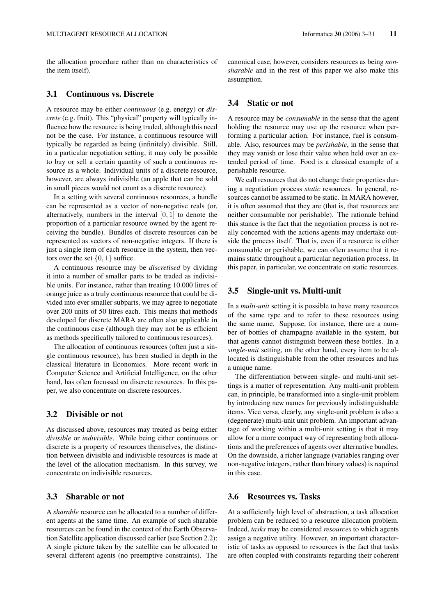the allocation procedure rather than on characteristics of the item itself).

# 3.1 Continuous vs. Discrete

A resource may be either *continuous* (e.g. energy) or *discrete* (e.g. fruit). This "physical" property will typically influence how the resource is being traded, although this need not be the case. For instance, a continuous resource will typically be regarded as being (infinitely) divisible. Still, in a particular negotiation setting, it may only be possible to buy or sell a certain quantity of such a continuous resource as a whole. Individual units of a discrete resource, however, are always indivisible (an apple that can be sold in small pieces would not count as a discrete resource).

In a setting with several continuous resources, a bundle can be represented as a vector of non-negative reals (or, alternatively, numbers in the interval [0, 1] to denote the proportion of a particular resource owned by the agent receiving the bundle). Bundles of discrete resources can be represented as vectors of non-negative integers. If there is just a single item of each resource in the system, then vectors over the set  $\{0, 1\}$  suffice.

A continuous resource may be *discretised* by dividing it into a number of smaller parts to be traded as indivisible units. For instance, rather than treating 10.000 litres of orange juice as a truly continuous resource that could be divided into ever smaller subparts, we may agree to negotiate over 200 units of 50 litres each. This means that methods developed for discrete MARA are often also applicable in the continuous case (although they may not be as efficient as methods specifically tailored to continuous resources).

The allocation of continuous resources (often just a single continuous resource), has been studied in depth in the classical literature in Economics. More recent work in Computer Science and Artificial Intelligence, on the other hand, has often focussed on discrete resources. In this paper, we also concentrate on discrete resources.

# 3.2 Divisible or not

As discussed above, resources may treated as being either *divisible* or *indivisible*. While being either continuous or discrete is a property of resources themselves, the distinction between divisible and indivisible resources is made at the level of the allocation mechanism. In this survey, we concentrate on indivisible resources.

# 3.3 Sharable or not

A *sharable* resource can be allocated to a number of different agents at the same time. An example of such sharable resources can be found in the context of the Earth Observation Satellite application discussed earlier (see Section 2.2): A single picture taken by the satellite can be allocated to several different agents (no preemptive constraints). The canonical case, however, considers resources as being *nonsharable* and in the rest of this paper we also make this assumption.

## 3.4 Static or not

A resource may be *consumable* in the sense that the agent holding the resource may use up the resource when performing a particular action. For instance, fuel is consumable. Also, resources may be *perishable*, in the sense that they may vanish or lose their value when held over an extended period of time. Food is a classical example of a perishable resource.

We call resources that do not change their properties during a negotiation process *static* resources. In general, resources cannot be assumed to be static. In MARA however, it is often assumed that they are (that is, that resources are neither consumable nor perishable). The rationale behind this stance is the fact that the negotiation process is not really concerned with the actions agents may undertake outside the process itself. That is, even if a resource is either consumable or perishable, we can often assume that it remains static throughout a particular negotiation process. In this paper, in particular, we concentrate on static resources.

# 3.5 Single-unit vs. Multi-unit

In a *multi-unit* setting it is possible to have many resources of the same type and to refer to these resources using the same name. Suppose, for instance, there are a number of bottles of champagne available in the system, but that agents cannot distinguish between these bottles. In a *single-unit* setting, on the other hand, every item to be allocated is distinguishable from the other resources and has a unique name.

The differentiation between single- and multi-unit settings is a matter of representation. Any multi-unit problem can, in principle, be transformed into a single-unit problem by introducing new names for previously indistinguishable items. Vice versa, clearly, any single-unit problem is also a (degenerate) multi-unit unit problem. An important advantage of working within a multi-unit setting is that it may allow for a more compact way of representing both allocations and the preferences of agents over alternative bundles. On the downside, a richer language (variables ranging over non-negative integers, rather than binary values) is required in this case.

# 3.6 Resources vs. Tasks

At a sufficiently high level of abstraction, a task allocation problem can be reduced to a resource allocation problem. Indeed, *tasks* may be considered *resources* to which agents assign a negative utility. However, an important characteristic of tasks as opposed to resources is the fact that tasks are often coupled with constraints regarding their coherent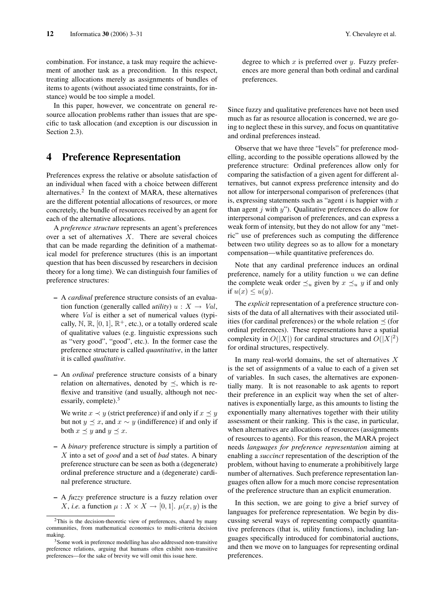combination. For instance, a task may require the achievement of another task as a precondition. In this respect, treating allocations merely as assignments of bundles of items to agents (without associated time constraints, for instance) would be too simple a model.

In this paper, however, we concentrate on general resource allocation problems rather than issues that are specific to task allocation (and exception is our discussion in Section 2.3).

# 4 Preference Representation

Preferences express the relative or absolute satisfaction of an individual when faced with a choice between different alternatives.<sup>2</sup> In the context of MARA, these alternatives are the different potential allocations of resources, or more concretely, the bundle of resources received by an agent for each of the alternative allocations.

A *preference structure* represents an agent's preferences over a set of alternatives  $X$ . There are several choices that can be made regarding the definition of a mathematical model for preference structures (this is an important question that has been discussed by researchers in decision theory for a long time). We can distinguish four families of preference structures:

- A *cardinal* preference structure consists of an evaluation function (generally called *utility*)  $u : X \rightarrow Val$ , where *Val* is either a set of numerical values (typically,  $\mathbb{N}, \mathbb{R}, [0, 1], \mathbb{R}^+,$  etc.), or a totally ordered scale of qualitative values (e.g. linguistic expressions such as "very good", "good", etc.). In the former case the preference structure is called *quantitative*, in the latter it is called *qualitative*.
- An *ordinal* preference structure consists of a binary relation on alternatives, denoted by  $\prec$ , which is reflexive and transitive (and usually, although not necessarily, complete). $3$

We write  $x \prec y$  (strict preference) if and only if  $x \preceq y$ but not  $y \leq x$ , and  $x \sim y$  (indifference) if and only if both  $x \preceq y$  and  $y \preceq x$ .

- A *binary* preference structure is simply a partition of X into a set of *good* and a set of *bad* states. A binary preference structure can be seen as both a (degenerate) ordinal preference structure and a (degenerate) cardinal preference structure.
- A *fuzzy* preference structure is a fuzzy relation over *X*, *i.e.* a function  $\mu$  :  $X \times X \rightarrow [0, 1]$ .  $\mu(x, y)$  is the

degree to which x is preferred over  $y$ . Fuzzy preferences are more general than both ordinal and cardinal preferences.

Since fuzzy and qualitative preferences have not been used much as far as resource allocation is concerned, we are going to neglect these in this survey, and focus on quantitative and ordinal preferences instead.

Observe that we have three "levels" for preference modelling, according to the possible operations allowed by the preference structure: Ordinal preferences allow only for comparing the satisfaction of a given agent for different alternatives, but cannot express preference intensity and do not allow for interpersonal comparison of preferences (that is, expressing statements such as "agent  $i$  is happier with  $x$ than agent  $j$  with  $y$ "). Qualitative preferences do allow for interpersonal comparison of preferences, and can express a weak form of intensity, but they do not allow for any "metric" use of preferences such as computing the difference between two utility degrees so as to allow for a monetary compensation—while quantitative preferences do.

Note that any cardinal preference induces an ordinal preference, namely for a utility function  $u$  we can define the complete weak order  $\preceq_u$  given by  $x \preceq_u y$  if and only if  $u(x) \leq u(y)$ .

The *explicit* representation of a preference structure consists of the data of all alternatives with their associated utilities (for cardinal preferences) or the whole relation  $\preceq$  (for ordinal preferences). These representations have a spatial complexity in  $O(|X|)$  for cardinal structures and  $O(|X|^2)$ for ordinal structures, respectively.

In many real-world domains, the set of alternatives  $X$ is the set of assignments of a value to each of a given set of variables. In such cases, the alternatives are exponentially many. It is not reasonable to ask agents to report their preference in an explicit way when the set of alternatives is exponentially large, as this amounts to listing the exponentially many alternatives together with their utility assessment or their ranking. This is the case, in particular, when alternatives are allocations of resources (assignments of resources to agents). For this reason, the MARA project needs *languages for preference representation* aiming at enabling a *succinct* representation of the description of the problem, without having to enumerate a prohibitively large number of alternatives. Such preference representation languages often allow for a much more concise representation of the preference structure than an explicit enumeration.

In this section, we are going to give a brief survey of languages for preference representation. We begin by discussing several ways of representing compactly quantitative preferences (that is, utility functions), including languages specifically introduced for combinatorial auctions, and then we move on to languages for representing ordinal preferences.

 $2$ This is the decision-theoretic view of preferences, shared by many communities, from mathematical economics to multi-criteria decision making.

<sup>3</sup>Some work in preference modelling has also addressed non-transitive preference relations, arguing that humans often exhibit non-transitive preferences—for the sake of brevity we will omit this issue here.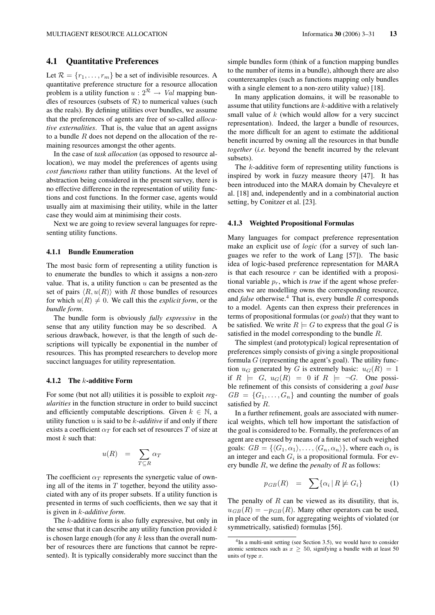# 4.1 Quantitative Preferences

Let  $\mathcal{R} = \{r_1, \ldots, r_m\}$  be a set of indivisible resources. A quantitative preference structure for a resource allocation problem is a utility function  $u: 2^R \rightarrow Val$  mapping bundles of resources (subsets of  $R$ ) to numerical values (such as the reals). By defining utilities over bundles, we assume that the preferences of agents are free of so-called *allocative externalities*. That is, the value that an agent assigns to a bundle  $R$  does not depend on the allocation of the remaining resources amongst the other agents.

In the case of *task allocation* (as opposed to resource allocation), we may model the preferences of agents using *cost functions* rather than utility functions. At the level of abstraction being considered in the present survey, there is no effective difference in the representation of utility functions and cost functions. In the former case, agents would usually aim at maximising their utility, while in the latter case they would aim at minimising their costs.

Next we are going to review several languages for representing utility functions.

#### 4.1.1 Bundle Enumeration

The most basic form of representing a utility function is to enumerate the bundles to which it assigns a non-zero value. That is, a utility function  $u$  can be presented as the set of pairs  $\langle R, u(R) \rangle$  with R those bundles of resources for which  $u(R) \neq 0$ . We call this the *explicit form*, or the *bundle form*.

The bundle form is obviously *fully expressive* in the sense that any utility function may be so described. A serious drawback, however, is that the length of such descriptions will typically be exponential in the number of resources. This has prompted researchers to develop more succinct languages for utility representation.

#### 4.1.2 The  $k$ -additive Form

For some (but not all) utilities it is possible to exploit *regularities* in the function structure in order to build succinct and efficiently computable descriptions. Given  $k \in \mathbb{N}$ , a utility function  $u$  is said to be  $k$ -*additive* if and only if there exists a coefficient  $\alpha_T$  for each set of resources T of size at most  $k$  such that:

$$
u(R) = \sum_{T \subseteq R} \alpha_T
$$

The coefficient  $\alpha_T$  represents the synergetic value of owning all of the items in  $T$  together, beyond the utility associated with any of its proper subsets. If a utility function is presented in terms of such coefficients, then we say that it is given in k*-additive form*.

The k-additive form is also fully expressive, but only in the sense that it can describe any utility function provided  $k$ is chosen large enough (for any  $k$  less than the overall number of resources there are functions that cannot be represented). It is typically considerably more succinct than the simple bundles form (think of a function mapping bundles to the number of items in a bundle), although there are also counterexamples (such as functions mapping only bundles with a single element to a non-zero utility value) [18].

In many application domains, it will be reasonable to assume that utility functions are k-additive with a relatively small value of  $k$  (which would allow for a very succinct representation). Indeed, the larger a bundle of resources, the more difficult for an agent to estimate the additional benefit incurred by owning all the resources in that bundle *together* (*i.e.* beyond the benefit incurred by the relevant subsets).

The  $k$ -additive form of representing utility functions is inspired by work in fuzzy measure theory [47]. It has been introduced into the MARA domain by Chevaleyre et al. [18] and, independently and in a combinatorial auction setting, by Conitzer et al. [23].

#### 4.1.3 Weighted Propositional Formulas

Many languages for compact preference representation make an explicit use of *logic* (for a survey of such languages we refer to the work of Lang [57]). The basic idea of logic-based preference representation for MARA is that each resource  $r$  can be identified with a propositional variable  $p_r$ , which is *true* if the agent whose preferences we are modelling owns the corresponding resource, and *false* otherwise.<sup>4</sup> That is, every bundle R corresponds to a model. Agents can then express their preferences in terms of propositional formulas (or *goals*) that they want to be satisfied. We write  $R \models G$  to express that the goal G is satisfied in the model corresponding to the bundle R.

The simplest (and prototypical) logical representation of preferences simply consists of giving a single propositional formula  $G$  (representing the agent's goal). The utility function  $u_G$  generated by G is extremely basic:  $u_G(R) = 1$ if  $R \models G$ ,  $u_G(R) = 0$  if  $R \models \neg G$ . One possible refinement of this consists of considering a *goal base*  $GB = \{G_1, \ldots, G_n\}$  and counting the number of goals satisfied by R.

In a further refinement, goals are associated with numerical weights, which tell how important the satisfaction of the goal is considered to be. Formally, the preferences of an agent are expressed by means of a finite set of such weighed goals:  $GB = \{\langle G_1, \alpha_1 \rangle, \ldots, \langle G_n, \alpha_n \rangle\}$ , where each  $\alpha_i$  is an integer and each  $G_i$  is a propositional formula. For every bundle R, we define the *penalty* of R as follows:

$$
p_{GB}(R) = \sum \{ \alpha_i \mid R \not\models G_i \} \tag{1}
$$

The penalty of  $R$  can be viewed as its disutility, that is,  $u_{GB}(R) = -p_{GB}(R)$ . Many other operators can be used, in place of the sum, for aggregating weights of violated (or symmetrically, satisfied) formulas [56].

<sup>&</sup>lt;sup>4</sup>In a multi-unit setting (see Section 3.5), we would have to consider atomic sentences such as  $x \geq 50$ , signifying a bundle with at least 50 units of type  $x$ .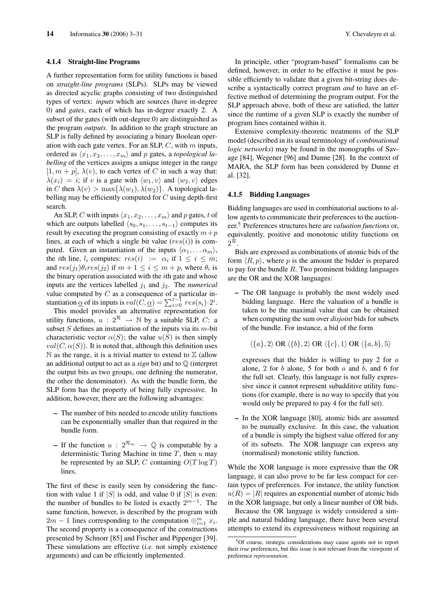#### 4.1.4 Straight-line Programs

A further representation form for utility functions is based on *straight-line programs* (SLPs). SLPs may be viewed as directed acyclic graphs consisting of two distinguished types of vertex: *inputs* which are sources (have in-degree 0) and *gates*, each of which has in-degree exactly 2. A subset of the gates (with out-degree 0) are distinguished as the program *outputs*. In addition to the graph structure an SLP is fully defined by associating a binary Boolean operation with each gate vertex. For an SLP,  $C$ , with  $m$  inputs, ordered as  $\langle x_1, x_2, \ldots, x_m \rangle$  and p gates, a *topological labelling* of the vertices assigns a unique integer in the range  $[1, m + p]$ ,  $\lambda(v)$ , to each vertex of C in such a way that:  $\lambda(x_i) = i$ ; if v is a gate with  $\langle w_1, v \rangle$  and  $\langle w_2, v \rangle$  edges in C then  $\lambda(v) > \max{\lambda(w_1), \lambda(w_2)}$ . A topological labelling may be efficiently computed for  $C$  using depth-first search.

An SLP, C with inputs  $\langle x_1, x_2, \ldots, x_m \rangle$  and p gates, t of which are outputs labelled  $\langle s_0, s_1, \ldots, s_{t-1} \rangle$  computes its result by executing the program consisting of exactly  $m+p$ lines, at each of which a single bit value  $(res(i))$  is computed. Given an instantiation of the inputs  $\langle \alpha_1, \ldots \alpha_m \rangle$ , the *i*th line,  $l_i$  computes:  $res(i) := \alpha_i$  if  $1 \leq i \leq m$ ; and  $res(j_1)\theta_i res(j_2)$  if  $m+1 \leq i \leq m+p$ , where  $\theta_i$  is the binary operation associated with the ith gate and whose inputs are the vertices labelled  $j_1$  and  $j_2$ . The *numerical* value computed by C as a consequence of a particular instantiation  $\underline{\alpha}$  of its inputs is  $val(C, \underline{\alpha}) = \sum_{i=0}^{t-1} res(s_i) \cdot 2^i$ .

This model provides an alternative representation for utility functions,  $u : 2^{\mathcal{R}} \rightarrow \mathbb{N}$  by a suitable SLP, C: a subset  $S$  defines an instantiation of the inputs via its  $m$ -bit characteristic vector  $\alpha(S)$ ; the value  $u(S)$  is then simply  $val(C, \alpha(S))$ . It is noted that, although this definition uses  $\mathbb N$  as the range, it is a trivial matter to extend to  $\mathbb Z$  (allow an additional output to act as a *sign* bit) and to Q (interpret the output bits as two groups, one defining the numerator, the other the denominator). As with the bundle form, the SLP form has the property of being fully expressive. In addition, however, there are the following advantages:

- The number of bits needed to encode utility functions can be exponentially smaller than that required in the bundle form.
- If the function  $u : 2^{\mathcal{R}_m} \to \mathbb{Q}$  is computable by a deterministic Turing Machine in time  $T$ , then  $u$  may be represented by an SLP, C containing  $O(T \log T)$ lines.

The first of these is easily seen by considering the function with value 1 if  $|S|$  is odd, and value 0 if  $|S|$  is even: the number of bundles to be listed is exactly  $2^{m-1}$ . The same function, however, is described by the program with  $2m - 1$  lines corresponding to the computation  $\bigoplus_{i=1}^{m} x_i$ . The second property is a consequence of the constructions presented by Schnorr [85] and Fischer and Pippenger [39]. These simulations are effective (*i.e.* not simply existence arguments) and can be efficiently implemented.

In principle, other "program-based" formalisms can be defined, however, in order to be effective it must be possible efficiently to validate that a given bit-string does describe a syntactically correct program *and* to have an effective method of determining the program output. For the SLP approach above, both of these are satisfied, the latter since the runtime of a given SLP is exactly the number of program lines contained within it.

Extensive complexity-theoretic treatments of the SLP model (described in its usual terminology of *combinational logic networks*) may be found in the monographs of Savage [84], Wegener [96] and Dunne [28]. In the context of MARA, the SLP form has been considered by Dunne et al. [32].

#### 4.1.5 Bidding Languages

Bidding languages are used in combinatorial auctions to allow agents to communicate their preferences to the auctioneer.<sup>5</sup> Preferences structures here are *valuation functions* or, equivalently, positive and monotonic utility functions on  $2^{\mathcal{R}}.$ 

Bids are expressed as combinations of atomic bids of the form  $\langle R, p \rangle$ , where p is the amount the bidder is prepared to pay for the bundle  $R$ . Two prominent bidding languages are the OR and the XOR languages:

– The OR language is probably the most widely used bidding language. Here the valuation of a bundle is taken to be the maximal value that can be obtained when computing the sum over *disjoint* bids for subsets of the bundle. For instance, a bid of the form

 $\langle \{a\}, 2 \rangle$  OR  $\langle \{b\}, 2 \rangle$  OR  $\langle \{c\}, 1 \rangle$  OR  $\langle \{a, b\}, 5 \rangle$ 

expresses that the bidder is willing to pay 2 for  $a$ alone, 2 for  $b$  alone, 5 for both  $a$  and  $b$ , and 6 for the full set. Clearly, this language is not fully expressive since it cannot represent subadditive utility functions (for example, there is no way to specify that you would only be prepared to pay 4 for the full set).

– In the XOR language [80], atomic bids are assumed to be mutually exclusive. In this case, the valuation of a bundle is simply the highest value offered for any of its subsets. The XOR language can express any (normalised) monotonic utility function.

While the XOR language is more expressive than the OR language, it can also prove to be far less compact for certain types of preferences. For instance, the utility function  $u(R) = |R|$  requires an exponential number of atomic bids in the XOR language, but only a linear number of OR bids.

Because the OR language is widely considered a simple and natural bidding language, there have been several attempts to extend its expressiveness without requiring an

<sup>5</sup>Of course, strategic considerations may cause agents not to report their *true* preferences, but this issue is not relevant from the viewpoint of preference *representation*.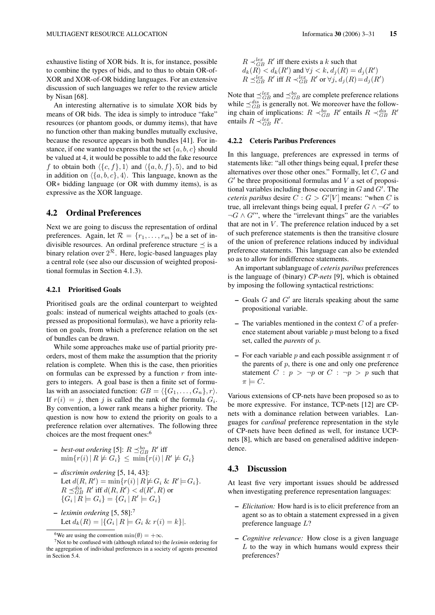exhaustive listing of XOR bids. It is, for instance, possible to combine the types of bids, and to thus to obtain OR-of-XOR and XOR-of-OR bidding languages. For an extensive discussion of such languages we refer to the review article by Nisan [68].

An interesting alternative is to simulate XOR bids by means of OR bids. The idea is simply to introduce "fake" resources (or phantom goods, or dummy items), that have no function other than making bundles mutually exclusive, because the resource appears in both bundles [41]. For instance, if one wanted to express that the set  $\{a, b, c\}$  should be valued at 4, it would be possible to add the fake resource f to obtain both  $\langle {c, f}, 1 \rangle$  and  $\langle {a, b, f}, 5 \rangle$ , and to bid in addition on  $\langle \{a, b, c\}, 4 \rangle$ . This language, known as the OR∗ bidding language (or OR with dummy items), is as expressive as the XOR language.

## 4.2 Ordinal Preferences

Next we are going to discuss the representation of ordinal preferences. Again, let  $\mathcal{R} = \{r_1, \ldots, r_m\}$  be a set of indivisible resources. An ordinal preference structure  $\preceq$  is a binary relation over  $2^{\mathcal{R}}$ . Here, logic-based languages play a central role (see also our discussion of weighted propositional formulas in Section 4.1.3).

#### 4.2.1 Prioritised Goals

Prioritised goals are the ordinal counterpart to weighted goals: instead of numerical weights attached to goals (expressed as propositional formulas), we have a priority relation on goals, from which a preference relation on the set of bundles can be drawn.

While some approaches make use of partial priority preorders, most of them make the assumption that the priority relation is complete. When this is the case, then priorities on formulas can be expressed by a function  $r$  from integers to integers. A goal base is then a finite set of formulas with an associated function:  $GB = \langle \{G_1, \ldots, G_n\}, r \rangle$ . If  $r(i) = j$ , then j is called the rank of the formula  $G_i$ . By convention, a lower rank means a higher priority. The question is now how to extend the priority on goals to a preference relation over alternatives. The following three choices are the most frequent ones:<sup>6</sup>

- $-$  *best-out ordering* [5]:  $R \preceq_{GB}^{bo} R'$  iff  $\min\{r(i) | R \not\models G_i\} \leq \min\{r(i) | R' \not\models G_i\}$
- *discrimin ordering* [5, 14, 43]: Let  $d(R, R') = \min\{r(i) | R \not\models G_i \& R' \models G_i\}.$  $R \preceq_{GB}^{dis} R'$  iff  $d(R, R') < d(R', R)$  or  ${G_i | R \models G_i} = {G_i | R' \models G_i}$
- *leximin ordering* [5, 58]:<sup>7</sup> Let  $d_k(R) = |\{G_i \mid R \models G_i \& r(i) = k\}|.$

 $R \prec_{GB}^{lex} R'$  iff there exists a k such that  $d_k(R) < d_k(R')$  and  $\forall j < k$ ,  $d_j(R) = d_j(R')$  $R \preceq_{GB}^{lex} R'$  iff  $R \prec_{GB}^{lex} R'$  or  $\forall j, d_j(R) = d_j(R')$ 

Note that  $\preceq_{GB}^{lex}$  and  $\preceq_{GB}^{bo}$  are complete preference relations while  $\preceq_{GB}^{dis}$  is generally not. We moreover have the following chain of implications:  $R \prec_{GB}^{bo} R'$  entails  $R \prec_{GB}^{dis} R'$ entails  $R \prec_{GB}^{lex} R'$ .

### 4.2.2 Ceteris Paribus Preferences

In this language, preferences are expressed in terms of statements like: "all other things being equal, I prefer these alternatives over those other ones." Formally, let C, G and  $G'$  be three propositional formulas and V a set of propositional variables including those occurring in  $G$  and  $G'$ . The *ceteris paribus* desire  $C : G > G'[V]$  means: "when C is true, all irrelevant things being equal, I prefer  $G \wedge \neg G'$  to  $\neg G \wedge G''$ , where the "irrelevant things" are the variables that are not in  $V$ . The preference relation induced by a set of such preference statements is then the transitive closure of the union of preference relations induced by individual preference statements. This language can also be extended so as to allow for indifference statements.

An important sublanguage of *ceteris paribus* preferences is the language of (binary) *CP-nets* [9], which is obtained by imposing the following syntactical restrictions:

- $-$  Goals  $G$  and  $G'$  are literals speaking about the same propositional variable.
- The variables mentioned in the context  $C$  of a preference statement about variable  $p$  must belong to a fixed set, called the *parents* of p.
- For each variable p and each possible assignment  $\pi$  of the parents of  $p$ , there is one and only one preference statement  $C : p > \neg p$  or  $C : \neg p > p$  such that  $\pi \models C$ .

Various extensions of CP-nets have been proposed so as to be more expressive. For instance, TCP-nets [12] are CPnets with a dominance relation between variables. Languages for *cardinal* preference representation in the style of CP-nets have been defined as well, for instance UCPnets [8], which are based on generalised additive independence.

#### 4.3 Discussion

At least five very important issues should be addressed when investigating preference representation languages:

- *Elicitation:* How hard is is to elicit preference from an agent so as to obtain a statement expressed in a given preference language L?
- *Cognitive relevance:* How close is a given language  $L$  to the way in which humans would express their preferences?

<sup>&</sup>lt;sup>6</sup>We are using the convention min( $\emptyset$ ) = + $\infty$ .

<sup>7</sup>Not to be confused with (although related to) the *leximin* ordering for the aggregation of individual preferences in a society of agents presented in Section 5.4.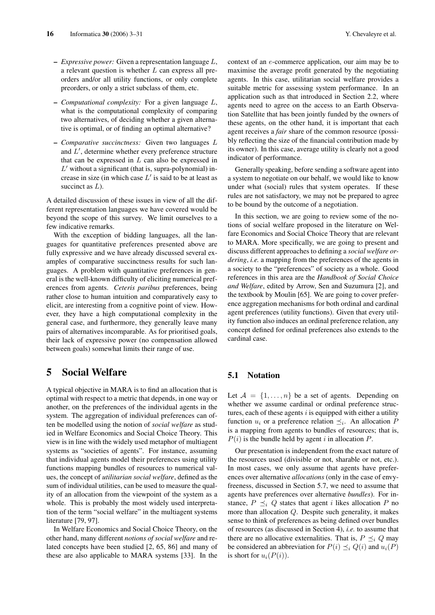- *Expressive power:* Given a representation language L, a relevant question is whether L can express all preorders and/or all utility functions, or only complete preorders, or only a strict subclass of them, etc.
- *Computational complexity:* For a given language L, what is the computational complexity of comparing two alternatives, of deciding whether a given alternative is optimal, or of finding an optimal alternative?
- *Comparative succinctness:* Given two languages L and  $L'$ , determine whether every preference structure that can be expressed in  $L$  can also be expressed in  $L'$  without a significant (that is, supra-polynomial) increase in size (in which case  $L'$  is said to be at least as succinct as  $L$ ).

A detailed discussion of these issues in view of all the different representation languages we have covered would be beyond the scope of this survey. We limit ourselves to a few indicative remarks.

With the exception of bidding languages, all the languages for quantitative preferences presented above are fully expressive and we have already discussed several examples of comparative succinctness results for such languages. A problem with quantitative preferences in general is the well-known difficulty of eliciting numerical preferences from agents. *Ceteris paribus* preferences, being rather close to human intuition and comparatively easy to elicit, are interesting from a cognitive point of view. However, they have a high computational complexity in the general case, and furthermore, they generally leave many pairs of alternatives incomparable. As for prioritised goals, their lack of expressive power (no compensation allowed between goals) somewhat limits their range of use.

# 5 Social Welfare

A typical objective in MARA is to find an allocation that is optimal with respect to a metric that depends, in one way or another, on the preferences of the individual agents in the system. The aggregation of individual preferences can often be modelled using the notion of *social welfare* as studied in Welfare Economics and Social Choice Theory. This view is in line with the widely used metaphor of multiagent systems as "societies of agents". For instance, assuming that individual agents model their preferences using utility functions mapping bundles of resources to numerical values, the concept of *utilitarian social welfare*, defined as the sum of individual utilities, can be used to measure the quality of an allocation from the viewpoint of the system as a whole. This is probably the most widely used interpretation of the term "social welfare" in the multiagent systems literature [79, 97].

In Welfare Economics and Social Choice Theory, on the other hand, many different *notions of social welfare* and related concepts have been studied [2, 65, 86] and many of these are also applicable to MARA systems [33]. In the context of an e-commerce application, our aim may be to maximise the average profit generated by the negotiating agents. In this case, utilitarian social welfare provides a suitable metric for assessing system performance. In an application such as that introduced in Section 2.2, where agents need to agree on the access to an Earth Observation Satellite that has been jointly funded by the owners of these agents, on the other hand, it is important that each agent receives a *fair* share of the common resource (possibly reflecting the size of the financial contribution made by its owner). In this case, average utility is clearly not a good indicator of performance.

Generally speaking, before sending a software agent into a system to negotiate on our behalf, we would like to know under what (social) rules that system operates. If these rules are not satisfactory, we may not be prepared to agree to be bound by the outcome of a negotiation.

In this section, we are going to review some of the notions of social welfare proposed in the literature on Welfare Economics and Social Choice Theory that are relevant to MARA. More specifically, we are going to present and discuss different approaches to defining a *social welfare ordering*, *i.e.* a mapping from the preferences of the agents in a society to the "preferences" of society as a whole. Good references in this area are the *Handbook of Social Choice and Welfare*, edited by Arrow, Sen and Suzumura [2], and the textbook by Moulin [65]. We are going to cover preference aggregation mechanisms for both ordinal and cardinal agent preferences (utility functions). Given that every utility function also induces an ordinal preference relation, any concept defined for ordinal preferences also extends to the cardinal case.

# 5.1 Notation

Let  $A = \{1, \ldots, n\}$  be a set of agents. Depending on whether we assume cardinal or ordinal preference structures, each of these agents  $i$  is equipped with either a utility function  $u_i$  or a preference relation  $\preceq_i$ . An allocation P is a mapping from agents to bundles of resources; that is,  $P(i)$  is the bundle held by agent i in allocation P.

Our presentation is independent from the exact nature of the resources used (divisible or not, sharable or not, etc.). In most cases, we only assume that agents have preferences over alternative *allocations* (only in the case of envyfreeness, discussed in Section 5.7, we need to assume that agents have preferences over alternative *bundles*). For instance,  $P \preceq_i Q$  states that agent *i* likes allocation P no more than allocation Q. Despite such generality, it makes sense to think of preferences as being defined over bundles of resources (as discussed in Section 4), *i.e.* to assume that there are no allocative externalities. That is,  $P \preceq_i Q$  may be considered an abbreviation for  $P(i) \preceq_i Q(i)$  and  $u_i(P)$ is short for  $u_i(P(i))$ .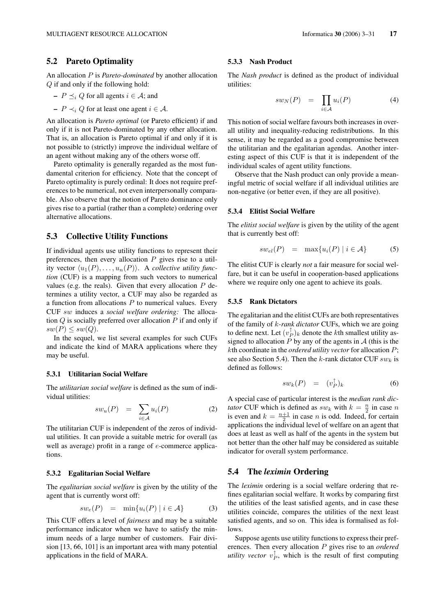# 5.2 Pareto Optimality

An allocation P is *Pareto-dominated* by another allocation Q if and only if the following hold:

- 
$$
P \preceq_i Q
$$
 for all agents  $i \in A$ ; and

 $-P \prec_i Q$  for at least one agent  $i \in \mathcal{A}$ .

An allocation is *Pareto optimal* (or Pareto efficient) if and only if it is not Pareto-dominated by any other allocation. That is, an allocation is Pareto optimal if and only if it is not possible to (strictly) improve the individual welfare of an agent without making any of the others worse off.

Pareto optimality is generally regarded as the most fundamental criterion for efficiency. Note that the concept of Pareto optimality is purely ordinal: It does not require preferences to be numerical, not even interpersonally comparable. Also observe that the notion of Pareto dominance only gives rise to a partial (rather than a complete) ordering over alternative allocations.

# 5.3 Collective Utility Functions

If individual agents use utility functions to represent their preferences, then every allocation  $P$  gives rise to a utility vector  $\langle u_1(P), \ldots, u_n(P) \rangle$ . A *collective utility function* (CUF) is a mapping from such vectors to numerical values (e.g. the reals). Given that every allocation  $P$  determines a utility vector, a CUF may also be regarded as a function from allocations  $P$  to numerical values. Every CUF sw induces a *social welfare ordering:* The allocation  $Q$  is socially preferred over allocation  $P$  if and only if  $sw(P) \leq sw(Q).$ 

In the sequel, we list several examples for such CUFs and indicate the kind of MARA applications where they may be useful.

#### 5.3.1 Utilitarian Social Welfare

The *utilitarian social welfare* is defined as the sum of individual utilities:

$$
sw_u(P) = \sum_{i \in \mathcal{A}} u_i(P) \tag{2}
$$

The utilitarian CUF is independent of the zeros of individual utilities. It can provide a suitable metric for overall (as well as average) profit in a range of  $e$ -commerce applications.

#### 5.3.2 Egalitarian Social Welfare

The *egalitarian social welfare* is given by the utility of the agent that is currently worst off:

$$
sw_e(P) = \min\{u_i(P) \mid i \in \mathcal{A}\}\tag{3}
$$

This CUF offers a level of *fairness* and may be a suitable performance indicator when we have to satisfy the minimum needs of a large number of customers. Fair division [13, 66, 101] is an important area with many potential applications in the field of MARA.

#### 5.3.3 Nash Product

The *Nash product* is defined as the product of individual utilities:

$$
sw_N(P) = \prod_{i \in \mathcal{A}} u_i(P) \tag{4}
$$

This notion of social welfare favours both increases in overall utility and inequality-reducing redistributions. In this sense, it may be regarded as a good compromise between the utilitarian and the egalitarian agendas. Another interesting aspect of this CUF is that it is independent of the individual scales of agent utility functions.

Observe that the Nash product can only provide a meaningful metric of social welfare if all individual utilities are non-negative (or better even, if they are all positive).

### 5.3.4 Elitist Social Welfare

The *elitist social welfare* is given by the utility of the agent that is currently best off:

$$
sw_{el}(P) = \max\{u_i(P) \mid i \in \mathcal{A}\}\tag{5}
$$

The elitist CUF is clearly *not* a fair measure for social welfare, but it can be useful in cooperation-based applications where we require only one agent to achieve its goals.

#### 5.3.5 Rank Dictators

The egalitarian and the elitist CUFs are both representatives of the family of k*-rank dictator* CUFs, which we are going to define next. Let  $(v_P^{\uparrow})_k$  denote the *k*th smallest utility assigned to allocation  $P$  by any of the agents in  $A$  (this is the kth coordinate in the *ordered utility vector* for allocation P; see also Section 5.4). Then the k-rank dictator CUF  $sw_k$  is defined as follows:

$$
sw_k(P) = (v_P^{\uparrow})_k \tag{6}
$$

A special case of particular interest is the *median rank dictator* CUF which is defined as  $sw_k$  with  $k = \frac{n}{2}$  in case n is even and  $k = \frac{n+1}{2}$  in case *n* is odd. Indeed, for certain applications the individual level of welfare on an agent that does at least as well as half of the agents in the system but not better than the other half may be considered as suitable indicator for overall system performance.

## 5.4 The *leximin* Ordering

The *leximin* ordering is a social welfare ordering that refines egalitarian social welfare. It works by comparing first the utilities of the least satisfied agents, and in case these utilities coincide, compares the utilities of the next least satisfied agents, and so on. This idea is formalised as follows.

Suppose agents use utility functions to express their preferences. Then every allocation P gives rise to an *ordered utility vector*  $v_P^{\uparrow}$ , which is the result of first computing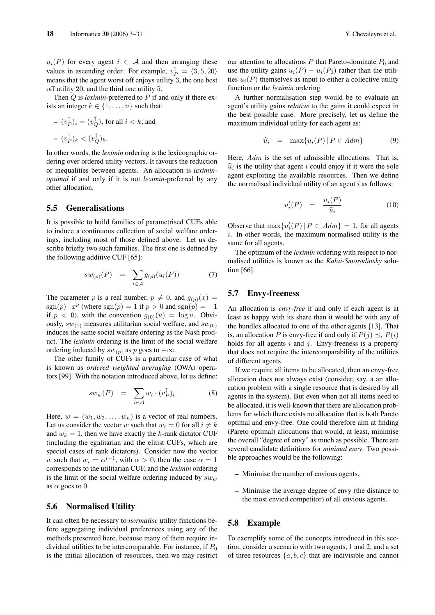$u_i(P)$  for every agent  $i \in A$  and then arranging these values in ascending order. For example,  $v_P^{\dagger} = \langle 3, 5, 20 \rangle$ means that the agent worst off enjoys utility 3, the one best off utility 20, and the third one utility 5.

Then Q is *leximin*-preferred to P if and only if there exists an integer  $k \in \{1, \ldots, n\}$  such that:

- 
$$
(v_P^{\uparrow})_i = (v_Q^{\uparrow})_i
$$
 for all  $i < k$ ; and  
\n-  $(v_P^{\uparrow})_k < (v_Q^{\uparrow})_k$ .

In other words, the *leximin* ordering is the lexicographic ordering over ordered utility vectors. It favours the reduction of inequalities between agents. An allocation is *leximinoptimal* if and only if it is not *leximin*-preferred by any other allocation.

# 5.5 Generalisations

It is possible to build families of parametrised CUFs able to induce a continuous collection of social welfare orderings, including most of those defined above. Let us describe briefly two such families. The first one is defined by the following additive CUF [65]:

$$
sw_{(p)}(P) = \sum_{i \in \mathcal{A}} g_{(p)}(u_i(P)) \tag{7}
$$

The parameter p is a real number,  $p \neq 0$ , and  $g_{(p)}(x) =$  $sgn(p) \cdot x^p$  (where  $sgn(p) = 1$  if  $p > 0$  and  $sgn(p) = -1$ if  $p < 0$ ), with the convention  $g_{(0)}(u) = \log u$ . Obviously,  $sw_{(1)}$  measures utilitarian social welfare, and  $sw_{(0)}$ induces the same social welfare ordering as the Nash product. The *leximin* ordering is the limit of the social welfare ordering induced by  $sw_{(p)}$  as p goes to  $-\infty$ .

The other family of CUFs is a particular case of what is known as *ordered weighted averaging* (OWA) operators [99]. With the notation introduced above, let us define:

$$
sw_w(P) = \sum_{i \in \mathcal{A}} w_i \cdot (v_P^{\uparrow})_i \tag{8}
$$

Here,  $w = (w_1, w_2, \dots, w_n)$  is a vector of real numbers. Let us consider the vector w such that  $w_i = 0$  for all  $i \neq k$ and  $w_k = 1$ , then we have exactly the k-rank dictator CUF (including the egalitarian and the elitist CUFs, which are special cases of rank dictators). Consider now the vector w such that  $w_i = \alpha^{i-1}$ , with  $\alpha > 0$ , then the case  $\alpha = 1$ corresponds to the utilitarian CUF, and the *leximin* ordering is the limit of the social welfare ordering induced by  $sw_w$ as  $\alpha$  goes to 0.

### 5.6 Normalised Utility

It can often be necessary to *normalise* utility functions before aggregating individual preferences using any of the methods presented here, because many of them require individual utilities to be intercomparable. For instance, if  $P_0$ is the initial allocation of resources, then we may restrict our attention to allocations  $P$  that Pareto-dominate  $P_0$  and use the utility gains  $u_i(P) - u_i(P_0)$  rather than the utilities  $u_i(P)$  themselves as input to either a collective utility function or the *leximin* ordering.

A further normalisation step would be to evaluate an agent's utility gains *relative* to the gains it could expect in the best possible case. More precisely, let us define the maximum individual utility for each agent as:

$$
\widehat{u}_i = \max\{u_i(P) \, | \, P \in Adm\} \tag{9}
$$

Here,  $Adm$  is the set of admissible allocations. That is,  $\hat{u}_i$  is the utility that agent i could enjoy if it were the sole agent exploiting the available resources. Then we define the normalised individual utility of an agent  $i$  as follows:

$$
u_i'(P) = \frac{u_i(P)}{\widehat{u}_i} \tag{10}
$$

Observe that  $\max\{u'_i(P) | P \in Adm\} = 1$ , for all agents  $i$ . In other words, the maximum normalised utility is the same for all agents.

The optimum of the *leximin* ordering with respect to normalised utilities is known as the *Kalai-Smorodinsky* solution [66].

## 5.7 Envy-freeness

An allocation is *envy-free* if and only if each agent is at least as happy with its share than it would be with any of the bundles allocated to one of the other agents [13]. That is, an allocation P is envy-free if and only if  $P(j) \preceq_i P(i)$ holds for all agents  $i$  and  $j$ . Envy-freeness is a property that does not require the intercomparability of the utilities of different agents.

If we require all items to be allocated, then an envy-free allocation does not always exist (consider, say, a an allocation problem with a single resource that is desired by all agents in the system). But even when not all items need to be allocated, it is well-known that there are allocation problems for which there exists no allocation that is both Pareto optimal and envy-free. One could therefore aim at finding (Pareto optimal) allocations that would, at least, minimise the overall "degree of envy" as much as possible. There are several candidate definitions for *minimal envy*. Two possible approaches would be the following:

- Minimise the number of envious agents.
- Minimise the average degree of envy (the distance to the most envied competitor) of all envious agents.

# 5.8 Example

To exemplify some of the concepts introduced in this section, consider a scenario with two agents, 1 and 2, and a set of three resources  $\{a, b, c\}$  that are indivisible and cannot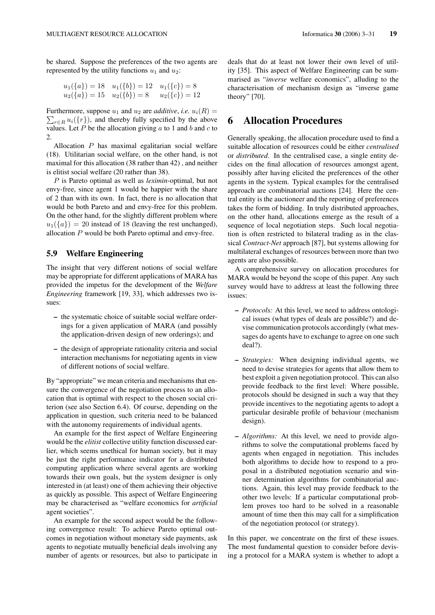be shared. Suppose the preferences of the two agents are represented by the utility functions  $u_1$  and  $u_2$ :

$$
u_1({a}) = 18 \t u_1({b}) = 12 \t u_1({c}) = 8u_2({a}) = 15 \t u_2({b}) = 8 \t u_2({c}) = 12
$$

Furthermore, suppose  $u_1$  and  $u_2$  are *additive*, *i.e.*  $u_i(R) =$  $\sum_{r \in R} u_i({r})$ , and thereby fully specified by the above values. Let  $P$  be the allocation giving  $a$  to 1 and  $b$  and  $c$  to 2.

Allocation P has maximal egalitarian social welfare (18). Utilitarian social welfare, on the other hand, is not maximal for this allocation (38 rather than 42) , and neither is elitist social welfare (20 rather than 38).

P is Pareto optimal as well as *leximin*-optimal, but not envy-free, since agent 1 would be happier with the share of 2 than with its own. In fact, there is no allocation that would be both Pareto and and envy-free for this problem. On the other hand, for the slightly different problem where  $u_1({a}) = 20$  instead of 18 (leaving the rest unchanged), allocation  $P$  would be both Pareto optimal and envy-free.

# 5.9 Welfare Engineering

The insight that very different notions of social welfare may be appropriate for different applications of MARA has provided the impetus for the development of the *Welfare Engineering* framework [19, 33], which addresses two issues:

- the systematic choice of suitable social welfare orderings for a given application of MARA (and possibly the application-driven design of new orderings); and
- the design of appropriate rationality criteria and social interaction mechanisms for negotiating agents in view of different notions of social welfare.

By "appropriate" we mean criteria and mechanisms that ensure the convergence of the negotiation process to an allocation that is optimal with respect to the chosen social criterion (see also Section 6.4). Of course, depending on the application in question, such criteria need to be balanced with the autonomy requirements of individual agents.

An example for the first aspect of Welfare Engineering would be the *elitist* collective utility function discussed earlier, which seems unethical for human society, but it may be just the right performance indicator for a distributed computing application where several agents are working towards their own goals, but the system designer is only interested in (at least) one of them achieving their objective as quickly as possible. This aspect of Welfare Engineering may be characterised as "welfare economics for *artificial* agent societies".

An example for the second aspect would be the following convergence result: To achieve Pareto optimal outcomes in negotiation without monetary side payments, ask agents to negotiate mutually beneficial deals involving any number of agents or resources, but also to participate in

deals that do at least not lower their own level of utility [35]. This aspect of Welfare Engineering can be summarised as "*inverse* welfare economics", alluding to the characterisation of mechanism design as "inverse game theory" [70].

# 6 Allocation Procedures

Generally speaking, the allocation procedure used to find a suitable allocation of resources could be either *centralised* or *distributed*. In the centralised case, a single entity decides on the final allocation of resources amongst agent, possibly after having elicited the preferences of the other agents in the system. Typical examples for the centralised approach are combinatorial auctions [24]. Here the central entity is the auctioneer and the reporting of preferences takes the form of bidding. In truly distributed approaches, on the other hand, allocations emerge as the result of a sequence of local negotiation steps. Such local negotiation is often restricted to bilateral trading as in the classical *Contract-Net* approach [87], but systems allowing for multilateral exchanges of resources between more than two agents are also possible.

A comprehensive survey on allocation procedures for MARA would be beyond the scope of this paper. Any such survey would have to address at least the following three issues:

- *Protocols:* At this level, we need to address ontological issues (what types of deals are possible?) and devise communication protocols accordingly (what messages do agents have to exchange to agree on one such deal?).
- *Strategies:* When designing individual agents, we need to devise strategies for agents that allow them to best exploit a given negotiation protocol. This can also provide feedback to the first level: Where possible, protocols should be designed in such a way that they provide incentives to the negotiating agents to adopt a particular desirable profile of behaviour (mechanism design).
- *Algorithms:* At this level, we need to provide algorithms to solve the computational problems faced by agents when engaged in negotiation. This includes both algorithms to decide how to respond to a proposal in a distributed negotiation scenario and winner determination algorithms for combinatorial auctions. Again, this level may provide feedback to the other two levels: If a particular computational problem proves too hard to be solved in a reasonable amount of time then this may call for a simplification of the negotiation protocol (or strategy).

In this paper, we concentrate on the first of these issues. The most fundamental question to consider before devising a protocol for a MARA system is whether to adopt a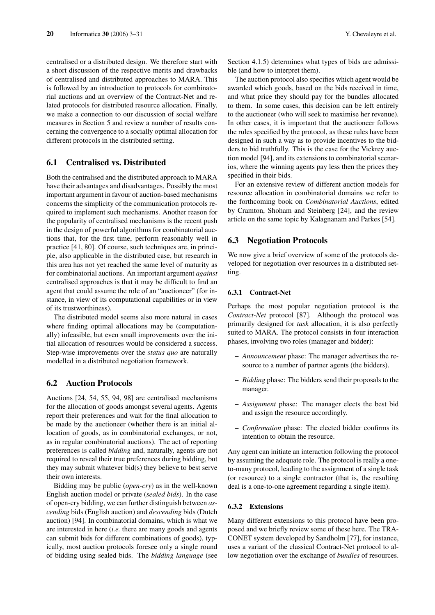centralised or a distributed design. We therefore start with a short discussion of the respective merits and drawbacks of centralised and distributed approaches to MARA. This is followed by an introduction to protocols for combinatorial auctions and an overview of the Contract-Net and related protocols for distributed resource allocation. Finally, we make a connection to our discussion of social welfare measures in Section 5 and review a number of results concerning the convergence to a socially optimal allocation for different protocols in the distributed setting.

## 6.1 Centralised vs. Distributed

Both the centralised and the distributed approach to MARA have their advantages and disadvantages. Possibly the most important argument in favour of auction-based mechanisms concerns the simplicity of the communication protocols required to implement such mechanisms. Another reason for the popularity of centralised mechanisms is the recent push in the design of powerful algorithms for combinatorial auctions that, for the first time, perform reasonably well in practice [41, 80]. Of course, such techniques are, in principle, also applicable in the distributed case, but research in this area has not yet reached the same level of maturity as for combinatorial auctions. An important argument *against* centralised approaches is that it may be difficult to find an agent that could assume the role of an "auctioneer" (for instance, in view of its computational capabilities or in view of its trustworthiness).

The distributed model seems also more natural in cases where finding optimal allocations may be (computationally) infeasible, but even small improvements over the initial allocation of resources would be considered a success. Step-wise improvements over the *status quo* are naturally modelled in a distributed negotiation framework.

#### 6.2 Auction Protocols

Auctions [24, 54, 55, 94, 98] are centralised mechanisms for the allocation of goods amongst several agents. Agents report their preferences and wait for the final allocation to be made by the auctioneer (whether there is an initial allocation of goods, as in combinatorial exchanges, or not, as in regular combinatorial auctions). The act of reporting preferences is called *bidding* and, naturally, agents are not required to reveal their true preferences during bidding, but they may submit whatever bid(s) they believe to best serve their own interests.

Bidding may be public (*open-cry*) as in the well-known English auction model or private (*sealed bids*). In the case of open-cry bidding, we can further distinguish between *ascending* bids (English auction) and *descending* bids (Dutch auction) [94]. In combinatorial domains, which is what we are interested in here (*i.e.* there are many goods and agents can submit bids for different combinations of goods), typically, most auction protocols foresee only a single round of bidding using sealed bids. The *bidding language* (see Section 4.1.5) determines what types of bids are admissible (and how to interpret them).

The auction protocol also specifies which agent would be awarded which goods, based on the bids received in time, and what price they should pay for the bundles allocated to them. In some cases, this decision can be left entirely to the auctioneer (who will seek to maximise her revenue). In other cases, it is important that the auctioneer follows the rules specified by the protocol, as these rules have been designed in such a way as to provide incentives to the bidders to bid truthfully. This is the case for the Vickrey auction model [94], and its extensions to combinatorial scenarios, where the winning agents pay less then the prices they specified in their bids.

For an extensive review of different auction models for resource allocation in combinatorial domains we refer to the forthcoming book on *Combinatorial Auctions*, edited by Cramton, Shoham and Steinberg [24], and the review article on the same topic by Kalagnanam and Parkes [54].

# 6.3 Negotiation Protocols

We now give a brief overview of some of the protocols developed for negotiation over resources in a distributed setting.

#### 6.3.1 Contract-Net

Perhaps the most popular negotiation protocol is the *Contract-Net* protocol [87]. Although the protocol was primarily designed for *task* allocation, it is also perfectly suited to MARA. The protocol consists in four interaction phases, involving two roles (manager and bidder):

- *Announcement* phase: The manager advertises the resource to a number of partner agents (the bidders).
- *Bidding* phase: The bidders send their proposals to the manager.
- *Assignment* phase: The manager elects the best bid and assign the resource accordingly.
- *Confirmation* phase: The elected bidder confirms its intention to obtain the resource.

Any agent can initiate an interaction following the protocol by assuming the adequate role. The protocol is really a oneto-many protocol, leading to the assignment of a single task (or resource) to a single contractor (that is, the resulting deal is a one-to-one agreement regarding a single item).

#### 6.3.2 Extensions

Many different extensions to this protocol have been proposed and we briefly review some of these here. The TRA-CONET system developed by Sandholm [77], for instance, uses a variant of the classical Contract-Net protocol to allow negotiation over the exchange of *bundles* of resources.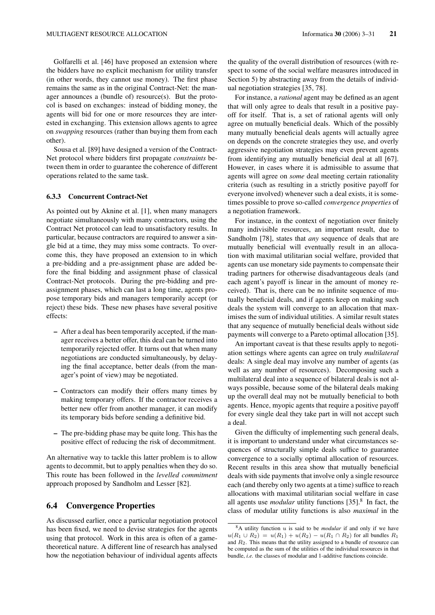Golfarelli et al. [46] have proposed an extension where the bidders have no explicit mechanism for utility transfer (in other words, they cannot use money). The first phase remains the same as in the original Contract-Net: the manager announces a (bundle of) resource(s). But the protocol is based on exchanges: instead of bidding money, the agents will bid for one or more resources they are interested in exchanging. This extension allows agents to agree on *swapping* resources (rather than buying them from each other).

Sousa et al. [89] have designed a version of the Contract-Net protocol where bidders first propagate *constraints* between them in order to guarantee the coherence of different operations related to the same task.

### 6.3.3 Concurrent Contract-Net

As pointed out by Aknine et al. [1], when many managers negotiate simultaneously with many contractors, using the Contract Net protocol can lead to unsatisfactory results. In particular, because contractors are required to answer a single bid at a time, they may miss some contracts. To overcome this, they have proposed an extension to in which a pre-bidding and a pre-assignment phase are added before the final bidding and assignment phase of classical Contract-Net protocols. During the pre-bidding and preassignment phases, which can last a long time, agents propose temporary bids and managers temporarily accept (or reject) these bids. These new phases have several positive effects:

- After a deal has been temporarily accepted, if the manager receives a better offer, this deal can be turned into temporarily rejected offer. It turns out that when many negotiations are conducted simultaneously, by delaying the final acceptance, better deals (from the manager's point of view) may be negotiated.
- Contractors can modify their offers many times by making temporary offers. If the contractor receives a better new offer from another manager, it can modify its temporary bids before sending a definitive bid.
- The pre-bidding phase may be quite long. This has the positive effect of reducing the risk of decommitment.

An alternative way to tackle this latter problem is to allow agents to decommit, but to apply penalties when they do so. This route has been followed in the *levelled commitment* approach proposed by Sandholm and Lesser [82].

## 6.4 Convergence Properties

As discussed earlier, once a particular negotiation protocol has been fixed, we need to devise strategies for the agents using that protocol. Work in this area is often of a gametheoretical nature. A different line of research has analysed how the negotiation behaviour of individual agents affects

the quality of the overall distribution of resources (with respect to some of the social welfare measures introduced in Section 5) by abstracting away from the details of individual negotiation strategies [35, 78].

For instance, a *rational* agent may be defined as an agent that will only agree to deals that result in a positive payoff for itself. That is, a set of rational agents will only agree on mutually beneficial deals. Which of the possibly many mutually beneficial deals agents will actually agree on depends on the concrete strategies they use, and overly aggressive negotiation strategies may even prevent agents from identifying any mutually beneficial deal at all [67]. However, in cases where it is admissible to assume that agents will agree on *some* deal meeting certain rationality criteria (such as resulting in a strictly positive payoff for everyone involved) whenever such a deal exists, it is sometimes possible to prove so-called *convergence properties* of a negotiation framework.

For instance, in the context of negotiation over finitely many indivisible resources, an important result, due to Sandholm [78], states that *any* sequence of deals that are mutually beneficial will eventually result in an allocation with maximal utilitarian social welfare, provided that agents can use monetary side payments to compensate their trading partners for otherwise disadvantageous deals (and each agent's payoff is linear in the amount of money received). That is, there can be no infinite sequence of mutually beneficial deals, and if agents keep on making such deals the system will converge to an allocation that maximises the sum of individual utilities. A similar result states that any sequence of mutually beneficial deals without side payments will converge to a Pareto optimal allocation [35].

An important caveat is that these results apply to negotiation settings where agents can agree on truly *multilateral* deals: A single deal may involve any number of agents (as well as any number of resources). Decomposing such a multilateral deal into a sequence of bilateral deals is not always possible, because some of the bilateral deals making up the overall deal may not be mutually beneficial to both agents. Hence, myopic agents that require a positive payoff for every single deal they take part in will not accept such a deal.

Given the difficulty of implementing such general deals, it is important to understand under what circumstances sequences of structurally simple deals suffice to guarantee convergence to a socially optimal allocation of resources. Recent results in this area show that mutually beneficial deals with side payments that involve only a single resource each (and thereby only two agents at a time) suffice to reach allocations with maximal utilitarian social welfare in case all agents use *modular* utility functions [35].<sup>8</sup> In fact, the class of modular utility functions is also *maximal* in the

 $8A$  utility function u is said to be *modular* if and only if we have  $u(R_1 \cup R_2) = u(R_1) + u(R_2) - u(R_1 \cap R_2)$  for all bundles  $R_1$ and  $R_2$ . This means that the utility assigned to a bundle of resource can be computed as the sum of the utilities of the individual resources in that bundle, *i.e.* the classes of modular and 1-additive functions coincide.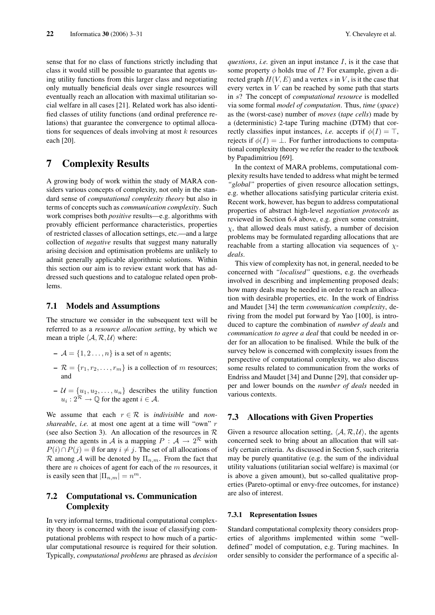sense that for no class of functions strictly including that class it would still be possible to guarantee that agents using utility functions from this larger class and negotiating only mutually beneficial deals over single resources will eventually reach an allocation with maximal utilitarian social welfare in all cases [21]. Related work has also identified classes of utility functions (and ordinal preference relations) that guarantee the convergence to optimal allocations for sequences of deals involving at most  $k$  resources each [20].

# 7 Complexity Results

A growing body of work within the study of MARA considers various concepts of complexity, not only in the standard sense of *computational complexity theory* but also in terms of concepts such as *communication complexity*. Such work comprises both *positive* results—e.g. algorithms with provably efficient performance characteristics, properties of restricted classes of allocation settings, etc.—and a large collection of *negative* results that suggest many naturally arising decision and optimisation problems are unlikely to admit generally applicable algorithmic solutions. Within this section our aim is to review extant work that has addressed such questions and to catalogue related open problems.

## 7.1 Models and Assumptions

The structure we consider in the subsequent text will be referred to as a *resource allocation setting*, by which we mean a triple  $\langle A, R, U \rangle$  where:

- $\mathcal{A} = \{1, 2, \ldots, n\}$  is a set of *n* agents;
- $\mathcal{R} = \{r_1, r_2, \dots, r_m\}$  is a collection of m resources; and
- $-\mathcal{U} = \{u_1, u_2, \dots, u_n\}$  describes the utility function  $u_i: 2^{\mathcal{R}} \to \mathbb{Q}$  for the agent  $i \in \mathcal{A}$ .

We assume that each  $r \in \mathcal{R}$  is *indivisible* and *nonshareable*, *i.e.* at most one agent at a time will "own" r (see also Section 3). An allocation of the resources in  $R$ among the agents in A is a mapping  $P : A \to 2^R$  with  $P(i) \cap P(j) = \emptyset$  for any  $i \neq j$ . The set of all allocations of R among A will be denoted by  $\Pi_{n,m}$ . From the fact that there are  $n$  choices of agent for each of the  $m$  resources, it is easily seen that  $|\Pi_{n,m}| = n^m$ .

# 7.2 Computational vs. Communication **Complexity**

In very informal terms, traditional computational complexity theory is concerned with the issue of classifying computational problems with respect to how much of a particular computational resource is required for their solution. Typically, *computational problems* are phrased as *decision* *questions*, *i.e.* given an input instance I, is it the case that some property  $\phi$  holds true of *I*? For example, given a directed graph  $H(V, E)$  and a vertex s in V, is it the case that every vertex in V can be reached by some path that starts in s? The concept of *computational resource* is modelled via some formal *model of computation*. Thus, *time* (*space*) as the (worst-case) number of *moves* (*tape cells*) made by a (deterministic) 2-tape Turing machine (DTM) that correctly classifies input instances, *i.e.* accepts if  $\phi(I) = \top$ , rejects if  $\phi(I) = \bot$ . For further introductions to computational complexity theory we refer the reader to the textbook by Papadimitriou [69].

In the context of MARA problems, computational complexity results have tended to address what might be termed *"global"* properties of given resource allocation settings, e.g. whether allocations satisfying particular criteria exist. Recent work, however, has begun to address computational properties of abstract high-level *negotiation protocols* as reviewed in Section 6.4 above, e.g. given some constraint,  $\chi$ , that allowed deals must satisfy, a number of decision problems may be formulated regarding allocations that are reachable from a starting allocation via sequences of  $\chi$ *deals*.

This view of complexity has not, in general, needed to be concerned with *"localised"* questions, e.g. the overheads involved in describing and implementing proposed deals; how many deals may be needed in order to reach an allocation with desirable properties, etc. In the work of Endriss and Maudet [34] the term *communication complexity*, deriving from the model put forward by Yao [100], is introduced to capture the combination of *number of deals* and *communication to agree a deal* that could be needed in order for an allocation to be finalised. While the bulk of the survey below is concerned with complexity issues from the perspective of computational complexity, we also discuss some results related to communication from the works of Endriss and Maudet [34] and Dunne [29], that consider upper and lower bounds on the *number of deals* needed in various contexts.

# 7.3 Allocations with Given Properties

Given a resource allocation setting,  $\langle A, R, U \rangle$ , the agents concerned seek to bring about an allocation that will satisfy certain criteria. As discussed in Section 5, such criteria may be purely quantitative (e.g. the sum of the individual utility valuations (utilitarian social welfare) is maximal (or is above a given amount), but so-called qualitative properties (Pareto-optimal or envy-free outcomes, for instance) are also of interest.

#### 7.3.1 Representation Issues

Standard computational complexity theory considers properties of algorithms implemented within some "welldefined" model of computation, e.g. Turing machines. In order sensibly to consider the performance of a specific al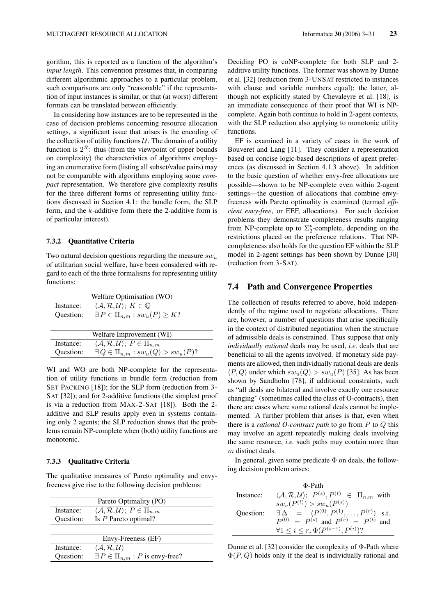gorithm, this is reported as a function of the algorithm's *input length*. This convention presumes that, in comparing different algorithmic approaches to a particular problem, such comparisons are only "reasonable" if the representation of input instances is similar, or that (at worst) different formats can be translated between efficiently.

In considering how instances are to be represented in the case of decision problems concerning resource allocation settings, a significant issue that arises is the encoding of the collection of utility functions  $U$ . The domain of a utility function is  $2^{\mathcal{R}}$ : thus (from the viewpoint of upper bounds on complexity) the characteristics of algorithms employing an enumerative form (listing all subset/value pairs) may not be comparable with algorithms employing some *compact* representation. We therefore give complexity results for the three different forms of representing utility functions discussed in Section 4.1: the bundle form, the SLP form, and the  $k$ -additive form (here the 2-additive form is of particular interest).

#### 7.3.2 Quantitative Criteria

Two natural decision questions regarding the measure  $sw_u$ of utilitarian social welfare, have been considered with regard to each of the three formalisms for representing utility functions:

|           | Welfare Optimisation (WO)                                          |
|-----------|--------------------------------------------------------------------|
| Instance: | $\langle A, \mathcal{R}, \mathcal{U} \rangle$ ; $K \in \mathbb{Q}$ |
| Question: | $\exists P \in \Pi_{n,m} : sw_u(P) \geq K?$                        |
|           |                                                                    |
|           | Welfare Improvement (WI)                                           |
| Instance: | $\langle A, \mathcal{R}, \mathcal{U} \rangle$ ; $P \in \Pi_{n,m}$  |
| Question: | $\exists Q \in \Pi_{n,m} : sw_u(Q) > sw_u(P)?$                     |

WI and WO are both NP-complete for the representation of utility functions in bundle form (reduction from SET PACKING [18]); for the SLP form (reduction from 3- SAT [32]); and for 2-additive functions (the simplest proof is via a reduction from MAX-2-SAT [18]). Both the 2 additive and SLP results apply even in systems containing only 2 agents; the SLP reduction shows that the problems remain NP-complete when (both) utility functions are monotonic.

#### 7.3.3 Qualitative Criteria

The qualitative measures of Pareto optimality and envyfreeness give rise to the following decision problems:

| Pareto Optimality (PO) |                                                                   |  |
|------------------------|-------------------------------------------------------------------|--|
| Instance:              | $\langle A, \mathcal{R}, \mathcal{U} \rangle$ ; $P \in \Pi_{n,m}$ |  |
| Question:              | Is $P$ Pareto optimal?                                            |  |
|                        |                                                                   |  |
| Envy-Freeness (EF)     |                                                                   |  |
| Instance:              | $\langle A, \mathcal{R}, \mathcal{U} \rangle$                     |  |
| Ouestion:              | $\exists P \in \Pi_{n,m} : P$ is envy-free?                       |  |

Deciding PO is coNP-complete for both SLP and 2 additive utility functions. The former was shown by Dunne et al. [32] (reduction from 3-UNSAT restricted to instances with clause and variable numbers equal); the latter, although not explicitly stated by Chevaleyre et al. [18], is an immediate consequence of their proof that WI is NPcomplete. Again both continue to hold in 2-agent contexts, with the SLP reduction also applying to monotonic utility functions.

EF is examined in a variety of cases in the work of Bouveret and Lang [11]. They consider a representation based on concise logic-based descriptions of agent preferences (as discussed in Section 4.1.3 above). In addition to the basic question of whether envy-free allocations are possible—shown to be NP-complete even within 2-agent settings—the question of allocations that combine envyfreeness with Pareto optimality is examined (termed *efficient envy-free*, or EEF, allocations). For such decision problems they demonstrate completeness results ranging from NP-complete up to  $\Sigma_2^p$ -complete, depending on the restrictions placed on the preference relations. That NPcompleteness also holds for the question EF within the SLP model in 2-agent settings has been shown by Dunne [30] (reduction from 3-SAT).

## 7.4 Path and Convergence Properties

The collection of results referred to above, hold independently of the regime used to negotiate allocations. There are, however, a number of questions that arise specifically in the context of distributed negotiation when the structure of admissible deals is constrained. Thus suppose that only *individually rational* deals may be used, *i.e.* deals that are beneficial to all the agents involved. If monetary side payments are allowed, then individually rational deals are deals  $\langle P, Q \rangle$  under which  $sw_u(Q) > sw_u(P)$  [35]. As has been shown by Sandholm [78], if additional constraints, such as "all deals are bilateral and involve exactly one resource changing" (sometimes called the class of O-contracts), then there are cases where some rational deals cannot be implemented. A further problem that arises is that, even when there is a *rational O-contract path* to go from P to Q this may involve an agent repeatedly making deals involving the same resource, *i.e.* such paths may contain more than m distinct deals.

In general, given some predicate  $\Phi$  on deals, the following decision problem arises:

| $\Phi$ -Path |                                                                                       |  |
|--------------|---------------------------------------------------------------------------------------|--|
| Instance:    | $\langle A, \mathcal{R}, \mathcal{U} \rangle$ ; $P^{(s)}, P^{(t)} \in \Pi_{n,m}$ with |  |
|              | $sw_u(P^{(t)}) > sw_u(P^{(s)})$                                                       |  |
| Ouestion:    | $\exists \Delta = \langle P^{(0)}, P^{(1)}, \ldots, P^{(r)} \rangle$ s.t.             |  |
|              | $P^{(0)} = P^{(s)}$ and $P^{(r)} = P^{(t)}$ and                                       |  |
|              | $\forall 1 \leq i \leq r, \Phi(P^{(i-1)}, P^{(i)})$ ?                                 |  |

Dunne et al. [32] consider the complexity of Φ-Path where  $\Phi(P,Q)$  holds only if the deal is individually rational and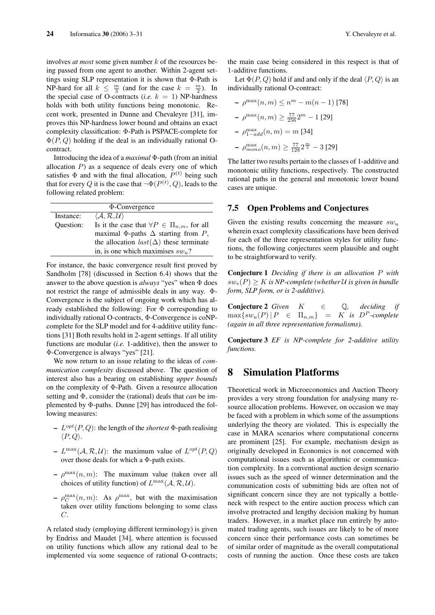involves *at most* some given number k of the resources being passed from one agent to another. Within 2-agent settings using SLP representation it is shown that Φ-Path is NP-hard for all  $k \leq \frac{m}{3}$  (and for the case  $k = \frac{m}{2}$ ). In the special case of O-contracts (*i.e.*  $k = 1$ ) NP-hardness holds with both utility functions being monotonic. Recent work, presented in Dunne and Chevaleyre [31], improves this NP-hardness lower bound and obtains an exact complexity classification: Φ-Path is PSPACE-complete for  $\Phi(P,Q)$  holding if the deal is an individually rational Ocontract.

Introducing the idea of a *maximal* Φ-path (from an initial allocation  $P$ ) as a sequence of deals every one of which satisfies  $\Phi$  and with the final allocation,  $P^{(t)}$  being such that for every Q it is the case that  $\neg \Phi(P^{(t)}, Q)$ , leads to the following related problem:

| $\Phi$ -Convergence |                                                         |  |
|---------------------|---------------------------------------------------------|--|
| Instance:           | $\langle A, R, U \rangle$                               |  |
| Ouestion:           | Is it the case that $\forall P \in \Pi_{n,m}$ , for all |  |
|                     | maximal $\Phi$ -paths $\Delta$ starting from P,         |  |
|                     | the allocation $last(\Delta)$ these terminate           |  |
|                     | in, is one which maximises $sw_n$ ?                     |  |

For instance, the basic convergence result first proved by Sandholm [78] (discussed in Section 6.4) shows that the answer to the above question is *always* "yes" when Φ does not restrict the range of admissible deals in any way. Φ-Convergence is the subject of ongoing work which has already established the following: For  $\Phi$  corresponding to individually rational O-contracts, Φ-Convergence is coNPcomplete for the SLP model and for 4-additive utility functions [31] Both results hold in 2-agent settings. If all utility functions are modular (*i.e.* 1-additive), then the answer to Φ-Convergence is always "yes" [21].

We now return to an issue relating to the ideas of *communication complexity* discussed above. The question of interest also has a bearing on establishing *upper bounds* on the complexity of Φ-Path. Given a resource allocation setting and Φ, consider the (rational) deals that *can* be implemented by Φ-paths. Dunne [29] has introduced the following measures:

- $-L^{opt}(P,Q)$ : the length of the *shortest*  $\Phi$ -path realising  $\langle P, Q \rangle$ .
- $L^{\max}(\mathcal{A}, \mathcal{R}, \mathcal{U})$ : the maximum value of  $L^{opt}(P, Q)$ over those deals for which a Φ-path exists.
- $-\rho^{\max}(n,m)$ : The maximum value (taken over all choices of utility function) of  $L^{\max}(\mathcal{A}, \mathcal{R}, \mathcal{U})$ .
- $-\rho_C^{\max}(n,m)$ : As  $\rho^{\max}$ , but with the maximisation taken over utility functions belonging to some class C.

A related study (employing different terminology) is given by Endriss and Maudet [34], where attention is focussed on utility functions which allow any rational deal to be implemented via some sequence of rational O-contracts; the main case being considered in this respect is that of 1-additive functions.

Let  $\Phi(P, Q)$  hold if and and only if the deal  $\langle P, Q \rangle$  is an individually rational O-contract:

- 
$$
\rho^{\max}(n, m) \le n^m - m(n - 1)
$$
 [78]  
-  $\rho^{\max}(n, m) \ge \frac{77}{256} 2^m - 1$  [29]  
-  $\rho^{\max}_{1-add}(n, m) = m$  [34]  
-  $\rho^{\max}_{mono}(n, m) \ge \frac{77}{128} 2^m - 3$  [29]

The latter two results pertain to the classes of 1-additive and monotonic utility functions, respectively. The constructed rational paths in the general and monotonic lower bound cases are unique.

### 7.5 Open Problems and Conjectures

Given the existing results concerning the measure  $sw_u$ wherein exact complexity classifications have been derived for each of the three representation styles for utility functions, the following conjectures seem plausible and ought to be straightforward to verify.

Conjecture 1 *Deciding if there is an allocation* P *with*  $sw_e(P) \geq K$  *is NP-complete (whether U is given in bundle form, SLP form, or is 2-additive).*

**Conjecture 2** Given  $K \in \mathbb{Q}$ , deciding if  $\max\{sw_u(P) | P \in \Pi_{n,m}\} = K$  *is*  $D^P$ -complete *(again in all three representation formalisms).*

Conjecture 3 *EF is NP-complete for 2-additive utility functions.*

# 8 Simulation Platforms

Theoretical work in Microeconomics and Auction Theory provides a very strong foundation for analysing many resource allocation problems. However, on occasion we may be faced with a problem in which some of the assumptions underlying the theory are violated. This is especially the case in MARA scenarios where computational concerns are prominent [25]. For example, mechanism design as originally developed in Economics is not concerned with computational issues such as algorithmic or communication complexity. In a conventional auction design scenario issues such as the speed of winner determination and the communication costs of submitting bids are often not of significant concern since they are not typically a bottleneck with respect to the entire auction process which can involve protracted and lengthy decision making by human traders. However, in a market place run entirely by automated trading agents, such issues are likely to be of more concern since their performance costs can sometimes be of similar order of magnitude as the overall computational costs of running the auction. Once these costs are taken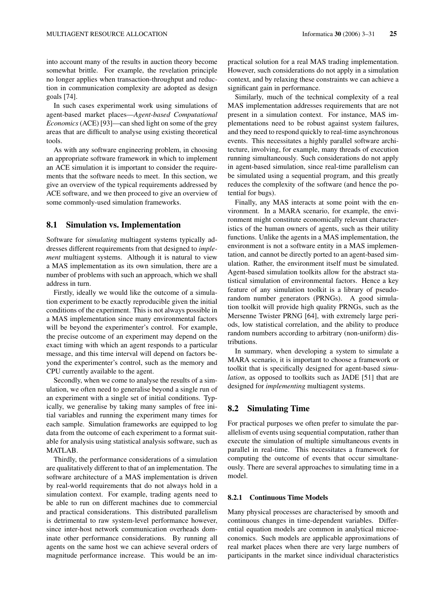into account many of the results in auction theory become somewhat brittle. For example, the revelation principle no longer applies when transaction-throughput and reduction in communication complexity are adopted as design goals [74].

In such cases experimental work using simulations of agent-based market places—*Agent-based Computational Economics* (ACE) [93]—can shed light on some of the grey areas that are difficult to analyse using existing theoretical tools.

As with any software engineering problem, in choosing an appropriate software framework in which to implement an ACE simulation it is important to consider the requirements that the software needs to meet. In this section, we give an overview of the typical requirements addressed by ACE software, and we then proceed to give an overview of some commonly-used simulation frameworks.

## 8.1 Simulation vs. Implementation

Software for *simulating* multiagent systems typically addresses different requirements from that designed to *implement* multiagent systems. Although it is natural to view a MAS implementation as its own simulation, there are a number of problems with such an approach, which we shall address in turn.

Firstly, ideally we would like the outcome of a simulation experiment to be exactly reproducible given the initial conditions of the experiment. This is not always possible in a MAS implementation since many environmental factors will be beyond the experimenter's control. For example, the precise outcome of an experiment may depend on the exact timing with which an agent responds to a particular message, and this time interval will depend on factors beyond the experimenter's control, such as the memory and CPU currently available to the agent.

Secondly, when we come to analyse the results of a simulation, we often need to generalise beyond a single run of an experiment with a single set of initial conditions. Typically, we generalise by taking many samples of free initial variables and running the experiment many times for each sample. Simulation frameworks are equipped to log data from the outcome of each experiment to a format suitable for analysis using statistical analysis software, such as MATLAB.

Thirdly, the performance considerations of a simulation are qualitatively different to that of an implementation. The software architecture of a MAS implementation is driven by real-world requirements that do not always hold in a simulation context. For example, trading agents need to be able to run on different machines due to commercial and practical considerations. This distributed parallelism is detrimental to raw system-level performance however, since inter-host network communication overheads dominate other performance considerations. By running all agents on the same host we can achieve several orders of magnitude performance increase. This would be an impractical solution for a real MAS trading implementation. However, such considerations do not apply in a simulation context, and by relaxing these constraints we can achieve a significant gain in performance.

Similarly, much of the technical complexity of a real MAS implementation addresses requirements that are not present in a simulation context. For instance, MAS implementations need to be robust against system failures, and they need to respond quickly to real-time asynchronous events. This necessitates a highly parallel software architecture, involving, for example, many threads of execution running simultaneously. Such considerations do not apply in agent-based simulation, since real-time parallelism can be simulated using a sequential program, and this greatly reduces the complexity of the software (and hence the potential for bugs).

Finally, any MAS interacts at some point with the environment. In a MARA scenario, for example, the environment might constitute economically relevant characteristics of the human owners of agents, such as their utility functions. Unlike the agents in a MAS implementation, the environment is not a software entity in a MAS implementation, and cannot be directly ported to an agent-based simulation. Rather, the environment itself must be simulated. Agent-based simulation toolkits allow for the abstract statistical simulation of environmental factors. Hence a key feature of any simulation toolkit is a library of pseudorandom number generators (PRNGs). A good simulation toolkit will provide high quality PRNGs, such as the Mersenne Twister PRNG [64], with extremely large periods, low statistical correlation, and the ability to produce random numbers according to arbitrary (non-uniform) distributions.

In summary, when developing a system to simulate a MARA scenario, it is important to choose a framework or toolkit that is specifically designed for agent-based *simulation*, as opposed to toolkits such as JADE [51] that are designed for *implementing* multiagent systems.

# 8.2 Simulating Time

For practical purposes we often prefer to simulate the parallelism of events using sequential computation, rather than execute the simulation of multiple simultaneous events in parallel in real-time. This necessitates a framework for computing the outcome of events that occur simultaneously. There are several approaches to simulating time in a model.

#### 8.2.1 Continuous Time Models

Many physical processes are characterised by smooth and continuous changes in time-dependent variables. Differential equation models are common in analytical microeconomics. Such models are applicable approximations of real market places when there are very large numbers of participants in the market since individual characteristics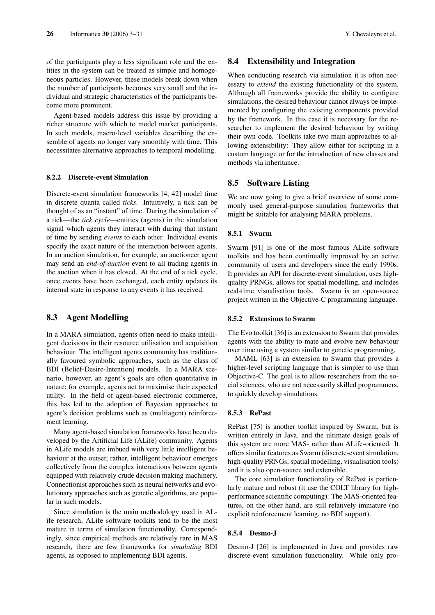of the participants play a less significant role and the entities in the system can be treated as simple and homogeneous particles. However, these models break down when the number of participants becomes very small and the individual and strategic characteristics of the participants become more prominent.

Agent-based models address this issue by providing a richer structure with which to model market participants. In such models, macro-level variables describing the ensemble of agents no longer vary smoothly with time. This necessitates alternative approaches to temporal modelling.

#### 8.2.2 Discrete-event Simulation

Discrete-event simulation frameworks [4, 42] model time in discrete quanta called *ticks*. Intuitively, a tick can be thought of as an "instant" of time. During the simulation of a tick—the *tick cycle*—entities (agents) in the simulation signal which agents they interact with during that instant of time by sending *events* to each other. Individual events specify the exact nature of the interaction between agents. In an auction simulation, for example, an auctioneer agent may send an *end-of-auction* event to all trading agents in the auction when it has closed. At the end of a tick cycle, once events have been exchanged, each entity updates its internal state in response to any events it has received.

# 8.3 Agent Modelling

In a MARA simulation, agents often need to make intelligent decisions in their resource utilisation and acquisition behaviour. The intelligent agents community has traditionally favoured symbolic approaches, such as the class of BDI (Belief-Desire-Intention) models. In a MARA scenario, however, an agent's goals are often quantitative in nature; for example, agents act to maximise their expected utility. In the field of agent-based electronic commerce, this has led to the adoption of Bayesian approaches to agent's decision problems such as (multiagent) reinforcement learning.

Many agent-based simulation frameworks have been developed by the Artificial Life (ALife) community. Agents in ALife models are imbued with very little intelligent behaviour at the outset; rather, intelligent behaviour emerges collectively from the complex interactions between agents equipped with relatively crude decision making machinery. Connectionist approaches such as neural networks and evolutionary approaches such as genetic algorithms, are popular in such models.

Since simulation is the main methodology used in ALife research, ALife software toolkits tend to be the most mature in terms of simulation functionality. Correspondingly, since empirical methods are relatively rare in MAS research, there are few frameworks for *simulating* BDI agents, as opposed to implementing BDI agents.

## 8.4 Extensibility and Integration

When conducting research via simulation it is often necessary to *extend* the existing functionality of the system. Although all frameworks provide the ability to configure simulations, the desired behaviour cannot always be implemented by configuring the existing components provided by the framework. In this case it is necessary for the researcher to implement the desired behaviour by writing their own code. Toolkits take two main approaches to allowing extensibility: They allow either for scripting in a custom language or for the introduction of new classes and methods via inheritance.

# 8.5 Software Listing

We are now going to give a brief overview of some commonly used general-purpose simulation frameworks that might be suitable for analysing MARA problems.

#### 8.5.1 Swarm

Swarm [91] is one of the most famous ALife software toolkits and has been continually improved by an active community of users and developers since the early 1990s. It provides an API for discrete-event simulation, uses highquality PRNGs, allows for spatial modelling, and includes real-time visualisation tools. Swarm is an open-source project written in the Objective-C programming language.

#### 8.5.2 Extensions to Swarm

The Evo toolkit [36] is an extension to Swarm that provides agents with the ability to mate and evolve new behaviour over time using a system similar to genetic programming.

MAML [63] is an extension to Swarm that provides a higher-level scripting language that is simpler to use than Objective-C. The goal is to allow researchers from the social sciences, who are not necessarily skilled programmers, to quickly develop simulations.

#### 8.5.3 RePast

RePast [75] is another toolkit inspired by Swarm, but is written entirely in Java, and the ultimate design goals of this system are more MAS- rather than ALife-oriented. It offers similar features as Swarm (discrete-event simulation, high-quality PRNGs, spatial modelling, visualisation tools) and it is also open-source and extensible.

The core simulation functionality of RePast is particularly mature and robust (it use the COLT library for highperformance scientific computing). The MAS-oriented features, on the other hand, are still relatively immature (no explicit reinforcement learning, no BDI support).

#### 8.5.4 Desmo-J

Desmo-J [26] is implemented in Java and provides raw discrete-event simulation functionality. While only pro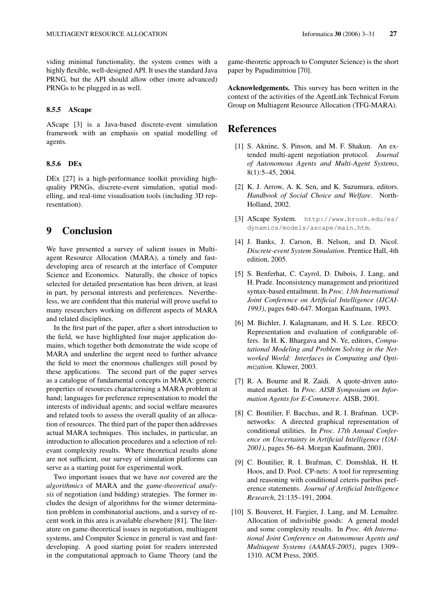viding minimal functionality, the system comes with a highly flexible, well-designed API. It uses the standard Java PRNG, but the API should allow other (more advanced) PRNGs to be plugged in as well.

#### 8.5.5 AScape

AScape [3] is a Java-based discrete-event simulation framework with an emphasis on spatial modelling of agents.

## 8.5.6 DEx

DEx [27] is a high-performance toolkit providing highquality PRNGs, discrete-event simulation, spatial modelling, and real-time visualisation tools (including 3D representation).

# 9 Conclusion

We have presented a survey of salient issues in Multiagent Resource Allocation (MARA), a timely and fastdeveloping area of research at the interface of Computer Science and Economics. Naturally, the choice of topics selected for detailed presentation has been driven, at least in part, by personal interests and preferences. Nevertheless, we are confident that this material will prove useful to many researchers working on different aspects of MARA and related disciplines.

In the first part of the paper, after a short introduction to the field, we have highlighted four major application domains, which together both demonstrate the wide scope of MARA and underline the urgent need to further advance the field to meet the enormous challenges still posed by these applications. The second part of the paper serves as a catalogue of fundamental concepts in MARA: generic properties of resources characterising a MARA problem at hand; languages for preference representation to model the interests of individual agents; and social welfare measures and related tools to assess the overall quality of an allocation of resources. The third part of the paper then addresses actual MARA techniques. This includes, in particular, an introduction to allocation procedures and a selection of relevant complexity results. Where theoretical results alone are not sufficient, our survey of simulation platforms can serve as a starting point for experimental work.

Two important issues that we have *not* covered are the *algorithmics* of MARA and the *game-theoretical analysis* of negotiation (and bidding) strategies. The former includes the design of algorithms for the winner determination problem in combinatorial auctions, and a survey of recent work in this area is available elsewhere [81]. The literature on game-theoretical issues in negotiation, multiagent systems, and Computer Science in general is vast and fastdeveloping. A good starting point for readers interested in the computational approach to Game Theory (and the

game-theoretic approach to Computer Science) is the short paper by Papadimitriou [70].

Acknowledgements. This survey has been written in the context of the activities of the AgentLink Technical Forum Group on Multiagent Resource Allocation (TFG-MARA).

# **References**

- [1] S. Aknine, S. Pinson, and M. F. Shakun. An extended multi-agent negotiation protocol. *Journal of Autonomous Agents and Multi-Agent Systems*, 8(1):5–45, 2004.
- [2] K. J. Arrow, A. K. Sen, and K. Suzumura, editors. *Handbook of Social Choice and Welfare*. North-Holland, 2002.
- [3] AScape System. http://www.brook.edu/es/ dynamics/models/ascape/main.htm.
- [4] J. Banks, J. Carson, B. Nelson, and D. Nicol. *Discrete-event System Simulation*. Prentice Hall, 4th edition, 2005.
- [5] S. Benferhat, C. Cayrol, D. Dubois, J. Lang, and H. Prade. Inconsistency management and prioritized syntax-based entailment. In *Proc. 13th International Joint Conference on Artificial Intelligence (IJCAI-1993)*, pages 640–647. Morgan Kaufmann, 1993.
- [6] M. Bichler, J. Kalagnanam, and H. S. Lee. RECO: Representation and evaluation of configurable offers. In H. K. Bhargava and N. Ye, editors, *Computational Modeling and Problem Solving in the Networked World: Interfaces in Computing and Optimization*. Kluwer, 2003.
- [7] R. A. Bourne and R. Zaidi. A quote-driven automated market. In *Proc. AISB Symposium on Information Agents for E-Commerce*. AISB, 2001.
- [8] C. Boutilier, F. Bacchus, and R. I. Brafman. UCPnetworks: A directed graphical representation of conditional utilities. In *Proc. 17th Annual Conference on Uncertainty in Artificial Intelligence (UAI-2001)*, pages 56–64. Morgan Kaufmann, 2001.
- [9] C. Boutilier, R. I. Brafman, C. Domshlak, H. H. Hoos, and D. Pool. CP-nets: A tool for representing and reasoning with conditional ceteris paribus preference statements. *Journal of Artificial Intelligence Research*, 21:135–191, 2004.
- [10] S. Bouveret, H. Fargier, J. Lang, and M. Lemaître. Allocation of indivisible goods: A general model and some complexity results. In *Proc. 4th International Joint Conference on Autonomous Agents and Multiagent Systems (AAMAS-2005)*, pages 1309– 1310. ACM Press, 2005.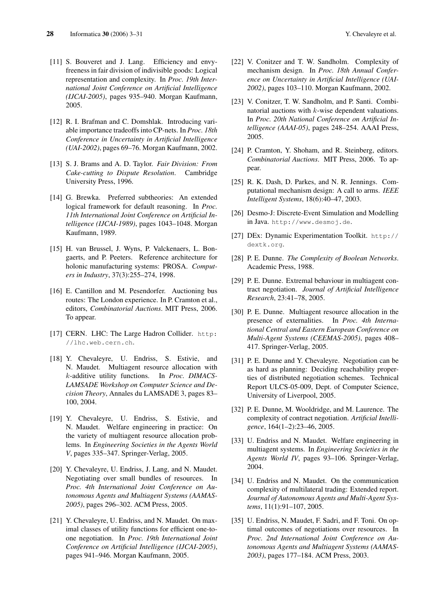- [11] S. Bouveret and J. Lang. Efficiency and envyfreeness in fair division of indivisible goods: Logical representation and complexity. In *Proc. 19th International Joint Conference on Artificial Intelligence (IJCAI-2005)*, pages 935–940. Morgan Kaufmann, 2005.
- [12] R. I. Brafman and C. Domshlak. Introducing variable importance tradeoffs into CP-nets. In *Proc. 18th Conference in Uncertainty in Artificial Intelligence (UAI-2002)*, pages 69–76. Morgan Kaufmann, 2002.
- [13] S. J. Brams and A. D. Taylor. *Fair Division: From Cake-cutting to Dispute Resolution*. Cambridge University Press, 1996.
- [14] G. Brewka. Preferred subtheories: An extended logical framework for default reasoning. In *Proc. 11th International Joint Conference on Artificial Intelligence (IJCAI-1989)*, pages 1043–1048. Morgan Kaufmann, 1989.
- [15] H. van Brussel, J. Wyns, P. Valckenaers, L. Bongaerts, and P. Peeters. Reference architecture for holonic manufacturing systems: PROSA. *Computers in Industry*, 37(3):255–274, 1998.
- [16] E. Cantillon and M. Pesendorfer. Auctioning bus routes: The London experience. In P. Cramton et al., editors, *Combinatorial Auctions*. MIT Press, 2006. To appear.
- [17] CERN. LHC: The Large Hadron Collider. http: //lhc.web.cern.ch.
- [18] Y. Chevaleyre, U. Endriss, S. Estivie, and N. Maudet. Multiagent resource allocation with k-additive utility functions. In *Proc. DIMACS-LAMSADE Workshop on Computer Science and Decision Theory*, Annales du LAMSADE 3, pages 83– 100, 2004.
- [19] Y. Chevaleyre, U. Endriss, S. Estivie, and N. Maudet. Welfare engineering in practice: On the variety of multiagent resource allocation problems. In *Engineering Societies in the Agents World V*, pages 335–347. Springer-Verlag, 2005.
- [20] Y. Chevaleyre, U. Endriss, J. Lang, and N. Maudet. Negotiating over small bundles of resources. In *Proc. 4th International Joint Conference on Autonomous Agents and Multiagent Systems (AAMAS-2005)*, pages 296–302. ACM Press, 2005.
- [21] Y. Chevaleyre, U. Endriss, and N. Maudet. On maximal classes of utility functions for efficient one-toone negotiation. In *Proc. 19th International Joint Conference on Artificial Intelligence (IJCAI-2005)*, pages 941–946. Morgan Kaufmann, 2005.
- [22] V. Conitzer and T. W. Sandholm. Complexity of mechanism design. In *Proc. 18th Annual Conference on Uncertainty in Artificial Intelligence (UAI-2002)*, pages 103–110. Morgan Kaufmann, 2002.
- [23] V. Conitzer, T. W. Sandholm, and P. Santi. Combinatorial auctions with k-wise dependent valuations. In *Proc. 20th National Conference on Artificial Intelligence (AAAI-05)*, pages 248–254. AAAI Press, 2005.
- [24] P. Cramton, Y. Shoham, and R. Steinberg, editors. *Combinatorial Auctions*. MIT Press, 2006. To appear.
- [25] R. K. Dash, D. Parkes, and N. R. Jennings. Computational mechanism design: A call to arms. *IEEE Intelligent Systems*, 18(6):40–47, 2003.
- [26] Desmo-J: Discrete-Event Simulation and Modelling in Java. http://www.desmoj.de.
- [27] DEx: Dynamic Experimentation Toolkit. http:// dextk.org.
- [28] P. E. Dunne. *The Complexity of Boolean Networks*. Academic Press, 1988.
- [29] P. E. Dunne. Extremal behaviour in multiagent contract negotiation. *Journal of Artificial Intelligence Research*, 23:41–78, 2005.
- [30] P. E. Dunne. Multiagent resource allocation in the presence of externalities. In *Proc. 4th International Central and Eastern European Conference on Multi-Agent Systems (CEEMAS-2005)*, pages 408– 417. Springer-Verlag, 2005.
- [31] P. E. Dunne and Y. Chevaleyre. Negotiation can be as hard as planning: Deciding reachability properties of distributed negotiation schemes. Technical Report ULCS-05-009, Dept. of Computer Science, University of Liverpool, 2005.
- [32] P. E. Dunne, M. Wooldridge, and M. Laurence. The complexity of contract negotiation. *Artificial Intelligence*, 164(1–2):23–46, 2005.
- [33] U. Endriss and N. Maudet. Welfare engineering in multiagent systems. In *Engineering Societies in the Agents World IV*, pages 93–106. Springer-Verlag, 2004.
- [34] U. Endriss and N. Maudet. On the communication complexity of multilateral trading: Extended report. *Journal of Autonomous Agents and Multi-Agent Systems*, 11(1):91–107, 2005.
- [35] U. Endriss, N. Maudet, F. Sadri, and F. Toni. On optimal outcomes of negotiations over resources. In *Proc. 2nd International Joint Conference on Autonomous Agents and Multiagent Systems (AAMAS-2003)*, pages 177–184. ACM Press, 2003.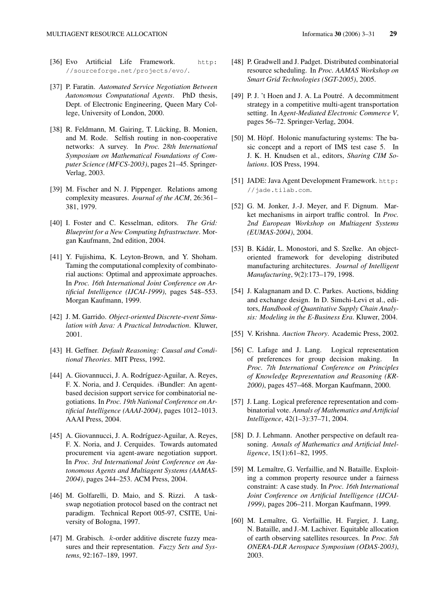- [36] Evo Artificial Life Framework. http: //sourceforge.net/projects/evo/.
- [37] P. Faratin. *Automated Service Negotiation Between Autonomous Computational Agents*. PhD thesis, Dept. of Electronic Engineering, Queen Mary College, University of London, 2000.
- [38] R. Feldmann, M. Gairing, T. Lücking, B. Monien, and M. Rode. Selfish routing in non-cooperative networks: A survey. In *Proc. 28th International Symposium on Mathematical Foundations of Computer Science (MFCS-2003)*, pages 21–45. Springer-Verlag, 2003.
- [39] M. Fischer and N. J. Pippenger. Relations among complexity measures. *Journal of the ACM*, 26:361– 381, 1979.
- [40] I. Foster and C. Kesselman, editors. *The Grid: Blueprint for a New Computing Infrastructure*. Morgan Kaufmann, 2nd edition, 2004.
- [41] Y. Fujishima, K. Leyton-Brown, and Y. Shoham. Taming the computational complexity of combinatorial auctions: Optimal and approximate approaches. In *Proc. 16th International Joint Conference on Artificial Intelligence (IJCAI-1999)*, pages 548–553. Morgan Kaufmann, 1999.
- [42] J. M. Garrido. *Object-oriented Discrete-event Simulation with Java: A Practical Introduction*. Kluwer, 2001.
- [43] H. Geffner. *Default Reasoning: Causal and Conditional Theories*. MIT Press, 1992.
- [44] A. Giovannucci, J. A. Rodríguez-Aguilar, A. Reyes, F. X. Noria, and J. Cerquides. iBundler: An agentbased decision support service for combinatorial negotiations. In *Proc. 19th National Conference on Artificial Intelligence (AAAI-2004)*, pages 1012–1013. AAAI Press, 2004.
- [45] A. Giovannucci, J. A. Rodríguez-Aguilar, A. Reyes, F. X. Noria, and J. Cerquides. Towards automated procurement via agent-aware negotiation support. In *Proc. 3rd International Joint Conference on Autonomous Agents and Multiagent Systems (AAMAS-2004)*, pages 244–253. ACM Press, 2004.
- [46] M. Golfarelli, D. Maio, and S. Rizzi. A taskswap negotiation protocol based on the contract net paradigm. Technical Report 005-97, CSITE, University of Bologna, 1997.
- [47] M. Grabisch. k-order additive discrete fuzzy measures and their representation. *Fuzzy Sets and Systems*, 92:167–189, 1997.
- [48] P. Gradwell and J. Padget. Distributed combinatorial resource scheduling. In *Proc. AAMAS Workshop on Smart Grid Technologies (SGT-2005)*, 2005.
- [49] P. J. 't Hoen and J. A. La Poutré. A decommitment strategy in a competitive multi-agent transportation setting. In *Agent-Mediated Electronic Commerce V*, pages 56–72. Springer-Verlag, 2004.
- [50] M. Höpf. Holonic manufacturing systems: The basic concept and a report of IMS test case 5. In J. K. H. Knudsen et al., editors, *Sharing CIM Solutions*. IOS Press, 1994.
- [51] JADE: Java Agent Development Framework. http: //jade.tilab.com.
- [52] G. M. Jonker, J.-J. Meyer, and F. Dignum. Market mechanisms in airport traffic control. In *Proc. 2nd European Workshop on Multiagent Systems (EUMAS-2004)*, 2004.
- [53] B. Kádár, L. Monostori, and S. Szelke. An objectoriented framework for developing distributed manufacturing architectures. *Journal of Intelligent Manufacturing*, 9(2):173–179, 1998.
- [54] J. Kalagnanam and D. C. Parkes. Auctions, bidding and exchange design. In D. Simchi-Levi et al., editors, *Handbook of Quantitative Supply Chain Analysis: Modeling in the E-Business Era*. Kluwer, 2004.
- [55] V. Krishna. *Auction Theory*. Academic Press, 2002.
- [56] C. Lafage and J. Lang. Logical representation of preferences for group decision making. In *Proc. 7th International Conference on Principles of Knowledge Representation and Reasoning (KR-2000)*, pages 457–468. Morgan Kaufmann, 2000.
- [57] J. Lang. Logical preference representation and combinatorial vote. *Annals of Mathematics and Artificial Intelligence*, 42(1–3):37–71, 2004.
- [58] D. J. Lehmann. Another perspective on default reasoning. *Annals of Mathematics and Artificial Intelligence*, 15(1):61–82, 1995.
- [59] M. Lemaître, G. Verfaillie, and N. Bataille. Exploiting a common property resource under a fairness constraint: A case study. In *Proc. 16th International Joint Conference on Artificial Intelligence (IJCAI-1999)*, pages 206–211. Morgan Kaufmann, 1999.
- [60] M. Lemaître, G. Verfaillie, H. Fargier, J. Lang, N. Bataille, and J.-M. Lachiver. Equitable allocation of earth observing satellites resources. In *Proc. 5th ONERA-DLR Aerospace Symposium (ODAS-2003)*, 2003.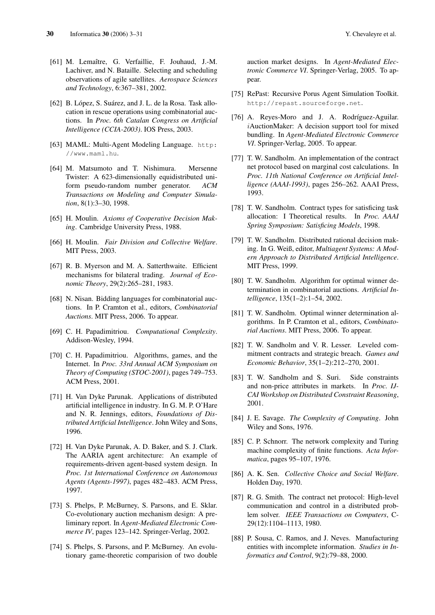- [61] M. Lemaître, G. Verfaillie, F. Jouhaud, J.-M. Lachiver, and N. Bataille. Selecting and scheduling observations of agile satellites. *Aerospace Sciences and Technology*, 6:367–381, 2002.
- [62] B. López, S. Suárez, and J. L. de la Rosa. Task allocation in rescue operations using combinatorial auctions. In *Proc. 6th Catalan Congress on Artificial Intelligence (CCIA-2003)*. IOS Press, 2003.
- [63] MAML: Multi-Agent Modeling Language. http: //www.maml.hu.
- [64] M. Matsumoto and T. Nishimura. Mersenne Twister: A 623-dimensionally equidistributed uniform pseudo-random number generator. *ACM Transactions on Modeling and Computer Simulation*, 8(1):3–30, 1998.
- [65] H. Moulin. *Axioms of Cooperative Decision Making*. Cambridge University Press, 1988.
- [66] H. Moulin. *Fair Division and Collective Welfare*. MIT Press, 2003.
- [67] R. B. Myerson and M. A. Satterthwaite. Efficient mechanisms for bilateral trading. *Journal of Economic Theory*, 29(2):265–281, 1983.
- [68] N. Nisan. Bidding languages for combinatorial auctions. In P. Cramton et al., editors, *Combinatorial Auctions*. MIT Press, 2006. To appear.
- [69] C. H. Papadimitriou. *Computational Complexity*. Addison-Wesley, 1994.
- [70] C. H. Papadimitriou. Algorithms, games, and the Internet. In *Proc. 33rd Annual ACM Symposium on Theory of Computing (STOC-2001)*, pages 749–753. ACM Press, 2001.
- [71] H. Van Dyke Parunak. Applications of distributed artificial intelligence in industry. In G. M. P. O'Hare and N. R. Jennings, editors, *Foundations of Distributed Artificial Intelligence*. John Wiley and Sons, 1996.
- [72] H. Van Dyke Parunak, A. D. Baker, and S. J. Clark. The AARIA agent architecture: An example of requirements-driven agent-based system design. In *Proc. 1st International Conference on Autonomous Agents (Agents-1997)*, pages 482–483. ACM Press, 1997.
- [73] S. Phelps, P. McBurney, S. Parsons, and E. Sklar. Co-evolutionary auction mechanism design: A preliminary report. In *Agent-Mediated Electronic Commerce IV*, pages 123–142. Springer-Verlag, 2002.
- [74] S. Phelps, S. Parsons, and P. McBurney. An evolutionary game-theoretic comparision of two double

auction market designs. In *Agent-Mediated Electronic Commerce VI*. Springer-Verlag, 2005. To appear.

- [75] RePast: Recursive Porus Agent Simulation Toolkit. http://repast.sourceforge.net.
- [76] A. Reyes-Moro and J. A. Rodríguez-Aguilar. iAuctionMaker: A decision support tool for mixed bundling. In *Agent-Mediated Electronic Commerce VI*. Springer-Verlag, 2005. To appear.
- [77] T. W. Sandholm. An implementation of the contract net protocol based on marginal cost calculations. In *Proc. 11th National Conference on Artificial Intelligence (AAAI-1993)*, pages 256–262. AAAI Press, 1993.
- [78] T. W. Sandholm. Contract types for satisficing task allocation: I Theoretical results. In *Proc. AAAI Spring Symposium: Satisficing Models*, 1998.
- [79] T. W. Sandholm. Distributed rational decision making. In G. Weiß, editor, *Multiagent Systems: A Modern Approach to Distributed Artificial Intelligence*. MIT Press, 1999.
- [80] T. W. Sandholm. Algorithm for optimal winner determination in combinatorial auctions. *Artificial Intelligence*, 135(1–2):1–54, 2002.
- [81] T. W. Sandholm. Optimal winner determination algorithms. In P. Cramton et al., editors, *Combinatorial Auctions*. MIT Press, 2006. To appear.
- [82] T. W. Sandholm and V. R. Lesser. Leveled commitment contracts and strategic breach. *Games and Economic Behavior*, 35(1–2):212–270, 2001.
- [83] T. W. Sandholm and S. Suri. Side constraints and non-price attributes in markets. In *Proc. IJ-CAI Workshop on Distributed Constraint Reasoning*, 2001.
- [84] J. E. Savage. *The Complexity of Computing*. John Wiley and Sons, 1976.
- [85] C. P. Schnorr. The network complexity and Turing machine complexity of finite functions. *Acta Informatica*, pages 95–107, 1976.
- [86] A. K. Sen. *Collective Choice and Social Welfare*. Holden Day, 1970.
- [87] R. G. Smith. The contract net protocol: High-level communication and control in a distributed problem solver. *IEEE Transactions on Computers*, C-29(12):1104–1113, 1980.
- [88] P. Sousa, C. Ramos, and J. Neves. Manufacturing entities with incomplete information. *Studies in Informatics and Control*, 9(2):79–88, 2000.